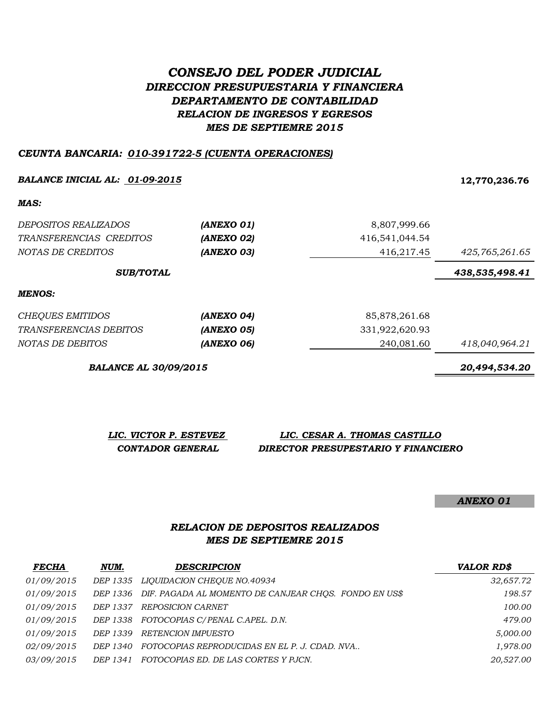# *CONSEJO DEL PODER JUDICIAL DIRECCION PRESUPUESTARIA Y FINANCIERA DEPARTAMENTO DE CONTABILIDAD RELACION DE INGRESOS Y EGRESOS MES DE SEPTIEMRE 2015*

#### *CEUNTA BANCARIA: 010-391722-5 (CUENTA OPERACIONES)*

#### *BALANCE INICIAL AL: 01-09-2015* **12,770,236.76**

*MAS:*

| <i>DEPOSITOS REALIZADOS</i><br>TRANSFERENCIAS CREDITOS<br>NOTAS DE CREDITOS | (ANEXO 01)<br>(ANEXO 02)<br>(ANEXO 03) | 8,807,999.66<br>416,541,044.54<br>416,217.45 | 425,765,261.65 |
|-----------------------------------------------------------------------------|----------------------------------------|----------------------------------------------|----------------|
| <b>SUB/TOTAL</b>                                                            |                                        |                                              | 438,535,498.41 |
| <b>MENOS:</b>                                                               |                                        |                                              |                |
| <b>CHEQUES EMITIDOS</b>                                                     | (ANEXO 04)                             | 85,878,261.68                                |                |
| TRANSFERENCIAS DEBITOS                                                      | (ANEXO 05)                             | 331,922,620.93                               |                |
| NOTAS DE DEBITOS                                                            | (ANEXO 06)                             | 240,081.60                                   | 418,040,964.21 |

*BALANCE AL 30/09/2015 20,494,534.20*

*LIC. VICTOR P. ESTEVEZ LIC. CESAR A. THOMAS CASTILLO CONTADOR GENERAL DIRECTOR PRESUPESTARIO Y FINANCIERO*

*ANEXO 01*

#### *MES DE SEPTIEMRE 2015 RELACION DE DEPOSITOS REALIZADOS*

| <b>FECHA</b>      | NUM.     | <b>DESCRIPCION</b>                                             | <b>VALOR RD\$</b> |
|-------------------|----------|----------------------------------------------------------------|-------------------|
| 01/09/2015        |          | DEP 1335 LIQUIDACION CHEQUE NO.40934                           | 32,657.72         |
| 01/09/2015        |          | DEP 1336 DIF. PAGADA AL MOMENTO DE CANJEAR CHOS. FONDO EN US\$ | 198.57            |
| 01/09/2015        | DEP 1337 | <i>REPOSICION CARNET</i>                                       | 100.00            |
| 01/09/2015        |          | DEP 1338 FOTOCOPIAS C/PENAL C.APEL. D.N.                       | 479.00            |
| 01/09/2015        | DEP 1339 | RETENCION IMPUESTO                                             | 5,000.00          |
| 02/09/2015        | DEP 1340 | FOTOCOPIAS REPRODUCIDAS EN EL P. J. CDAD. NVA                  | 1,978.00          |
| <i>03/09/2015</i> | DEP 1341 | FOTOCOPIAS ED. DE LAS CORTES Y PJCN.                           | 20,527.00         |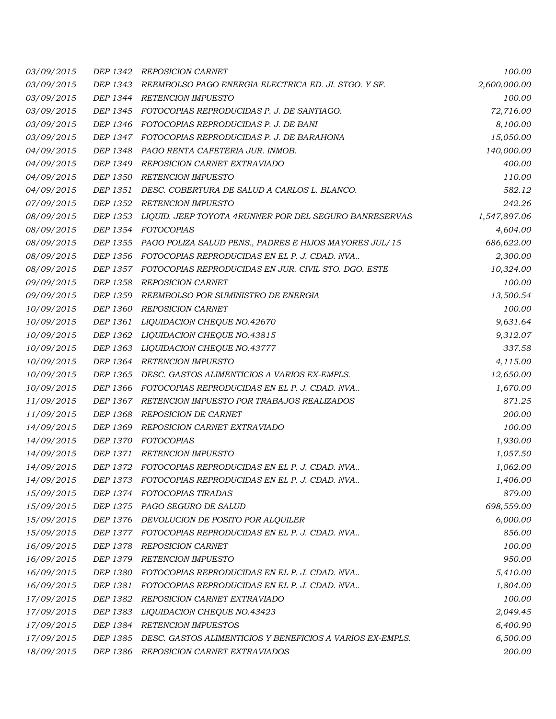| 03/09/2015 | DEP 1342        | REPOSICION CARNET                                               | 100.00       |
|------------|-----------------|-----------------------------------------------------------------|--------------|
| 03/09/2015 | DEP 1343        | REEMBOLSO PAGO ENERGIA ELECTRICA ED. JI. STGO. Y SF.            | 2,600,000.00 |
| 03/09/2015 |                 | DEP 1344 RETENCION IMPUESTO                                     | 100.00       |
| 03/09/2015 |                 | DEP 1345 FOTOCOPIAS REPRODUCIDAS P. J. DE SANTIAGO.             | 72,716.00    |
| 03/09/2015 |                 | DEP 1346 FOTOCOPIAS REPRODUCIDAS P. J. DE BANI                  | 8,100.00     |
| 03/09/2015 | DEP 1347        | FOTOCOPIAS REPRODUCIDAS P. J. DE BARAHONA                       | 15,050.00    |
| 04/09/2015 | DEP 1348        | PAGO RENTA CAFETERIA JUR. INMOB.                                | 140,000.00   |
| 04/09/2015 | DEP 1349        | REPOSICION CARNET EXTRAVIADO                                    | 400.00       |
| 04/09/2015 | DEP 1350        | <b>RETENCION IMPUESTO</b>                                       | 110.00       |
| 04/09/2015 | DEP 1351        | DESC. COBERTURA DE SALUD A CARLOS L. BLANCO.                    | 582.12       |
| 07/09/2015 | DEP 1352        | <b>RETENCION IMPUESTO</b>                                       | 242.26       |
| 08/09/2015 | DEP 1353        | LIQUID. JEEP TOYOTA 4RUNNER POR DEL SEGURO BANRESERVAS          | 1,547,897.06 |
| 08/09/2015 | DEP 1354        | FOTOCOPIAS                                                      | 4,604.00     |
| 08/09/2015 |                 | DEP 1355 PAGO POLIZA SALUD PENS., PADRES E HIJOS MAYORES JUL/15 | 686,622.00   |
| 08/09/2015 |                 | DEP 1356 FOTOCOPIAS REPRODUCIDAS EN EL P. J. CDAD. NVA          | 2,300.00     |
| 08/09/2015 | DEP 1357        | FOTOCOPIAS REPRODUCIDAS EN JUR. CIVIL STO. DGO. ESTE            | 10,324.00    |
| 09/09/2015 | DEP 1358        | REPOSICION CARNET                                               | 100.00       |
| 09/09/2015 | DEP 1359        | REEMBOLSO POR SUMINISTRO DE ENERGIA                             | 13,500.54    |
| 10/09/2015 | DEP 1360        | <b>REPOSICION CARNET</b>                                        | 100.00       |
| 10/09/2015 | DEP 1361        | LIQUIDACION CHEQUE NO.42670                                     | 9,631.64     |
| 10/09/2015 | DEP 1362        | LIQUIDACION CHEQUE NO.43815                                     | 9,312.07     |
| 10/09/2015 | DEP 1363        | <i>LIQUIDACION CHEQUE NO.43777</i>                              | 337.58       |
| 10/09/2015 | DEP 1364        | <b>RETENCION IMPUESTO</b>                                       | 4,115.00     |
| 10/09/2015 | DEP 1365        | DESC. GASTOS ALIMENTICIOS A VARIOS EX-EMPLS.                    | 12,650.00    |
| 10/09/2015 | DEP 1366        | FOTOCOPIAS REPRODUCIDAS EN EL P. J. CDAD. NVA                   | 1,670.00     |
| 11/09/2015 | DEP 1367        | RETENCION IMPUESTO POR TRABAJOS REALIZADOS                      | 871.25       |
| 11/09/2015 | DEP 1368        | REPOSICION DE CARNET                                            | 200.00       |
| 14/09/2015 | DEP 1369        | REPOSICION CARNET EXTRAVIADO                                    | 100.00       |
| 14/09/2015 | DEP 1370        | FOTOCOPIAS                                                      | 1,930.00     |
| 14/09/2015 | DEP 1371        | <b>RETENCION IMPUESTO</b>                                       | 1,057.50     |
| 14/09/2015 | DEP 1372        | FOTOCOPIAS REPRODUCIDAS EN EL P. J. CDAD. NVA                   | 1,062.00     |
| 14/09/2015 | <i>DEP 1373</i> | FOTOCOPIAS REPRODUCIDAS EN EL P. J. CDAD. NVA                   | 1,406.00     |
| 15/09/2015 | DEP 1374        | FOTOCOPIAS TIRADAS                                              | 879.00       |
| 15/09/2015 | DEP 1375        | PAGO SEGURO DE SALUD                                            | 698,559.00   |
| 15/09/2015 | DEP 1376        | DEVOLUCION DE POSITO POR ALQUILER                               | 6,000.00     |
| 15/09/2015 | DEP 1377        | FOTOCOPIAS REPRODUCIDAS EN EL P. J. CDAD. NVA                   | 856.00       |
| 16/09/2015 | DEP 1378        | <b>REPOSICION CARNET</b>                                        | 100.00       |
| 16/09/2015 | DEP 1379        | <b>RETENCION IMPUESTO</b>                                       | 950.00       |
| 16/09/2015 | DEP 1380        | FOTOCOPIAS REPRODUCIDAS EN EL P. J. CDAD. NVA                   | 5,410.00     |
| 16/09/2015 | DEP 1381        | FOTOCOPIAS REPRODUCIDAS EN EL P. J. CDAD. NVA                   | 1,804.00     |
| 17/09/2015 | DEP 1382        | REPOSICION CARNET EXTRAVIADO                                    | 100.00       |
| 17/09/2015 | DEP 1383        | LIQUIDACION CHEQUE NO.43423                                     | 2,049.45     |
| 17/09/2015 | DEP 1384        | <b>RETENCION IMPUESTOS</b>                                      | 6,400.90     |
| 17/09/2015 | DEP 1385        | DESC. GASTOS ALIMENTICIOS Y BENEFICIOS A VARIOS EX-EMPLS.       | 6,500.00     |
| 18/09/2015 | DEP 1386        | REPOSICION CARNET EXTRAVIADOS                                   | 200.00       |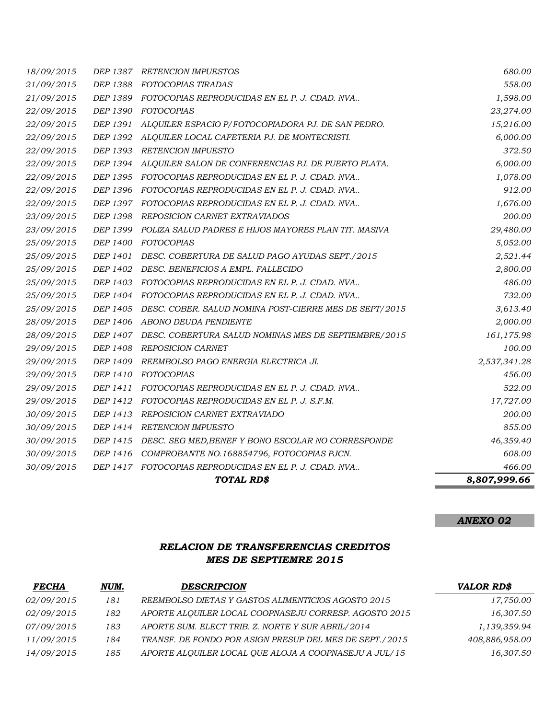|                          |                 | <b>TOTAL RD\$</b>                                                            | 8,807,999.66       |
|--------------------------|-----------------|------------------------------------------------------------------------------|--------------------|
| 30/09/2015               |                 | DEP 1417 FOTOCOPIAS REPRODUCIDAS EN EL P. J. CDAD. NVA                       | 466.00             |
| 30/09/2015               | DEP 1416        | COMPROBANTE NO.168854796, FOTOCOPIAS PJCN.                                   | 608.00             |
| 30/09/2015               |                 | DEP 1415 DESC. SEG MED, BENEF Y BONO ESCOLAR NO CORRESPONDE                  | 46,359.40          |
| 30/09/2015               | DEP 1414        | <b>RETENCION IMPUESTO</b>                                                    | 855.00             |
| 30/09/2015               | DEP 1413        | REPOSICION CARNET EXTRAVIADO                                                 | 200.00             |
| 29/09/2015               |                 | DEP 1412 FOTOCOPIAS REPRODUCIDAS EN EL P. J. S.F.M.                          | 17,727.00          |
| 29/09/2015               | DEP 1411        | FOTOCOPIAS REPRODUCIDAS EN EL P. J. CDAD. NVA                                | 522.00             |
| 29/09/2015               | <i>DEP 1410</i> | FOTOCOPIAS                                                                   | 456.00             |
| 29/09/2015               |                 | DEP 1409 REEMBOLSO PAGO ENERGIA ELECTRICA JI.                                | 2,537,341.28       |
| 29/09/2015               | DEP 1408        | <b>REPOSICION CARNET</b>                                                     | 100.00             |
| 28/09/2015               | <i>DEP 1407</i> | DESC. COBERTURA SALUD NOMINAS MES DE SEPTIEMBRE/2015                         | 161,175.98         |
| 28/09/2015               |                 | DEP 1406 ABONO DEUDA PENDIENTE                                               | 2,000.00           |
| 25/09/2015               |                 | DEP 1405 DESC. COBER. SALUD NOMINA POST-CIERRE MES DE SEPT/2015              | 3,613.40           |
| 25/09/2015               |                 | DEP 1404 FOTOCOPIAS REPRODUCIDAS EN EL P. J. CDAD. NVA                       | 732.00             |
| 25/09/2015               |                 | DEP 1403 FOTOCOPIAS REPRODUCIDAS EN EL P. J. CDAD. NVA                       | 486.00             |
| 25/09/2015               |                 | DEP 1402 DESC. BENEFICIOS A EMPL. FALLECIDO                                  | 2,800.00           |
| 25/09/2015               | DEP 1401        | DESC. COBERTURA DE SALUD PAGO AYUDAS SEPT./2015                              | 2,521.44           |
| 25/09/2015               | DEP 1400        | FOTOCOPIAS                                                                   | 5,052.00           |
| 23/09/2015               |                 | DEP 1399 POLIZA SALUD PADRES E HIJOS MAYORES PLAN TIT. MASIVA                | 29,480.00          |
| 23/09/2015               | DEP 1398        | REPOSICION CARNET EXTRAVIADOS                                                | 200.00             |
| 22/09/2015               |                 | DEP 1397 FOTOCOPIAS REPRODUCIDAS EN EL P. J. CDAD. NVA                       | 1,676.00           |
| 22/09/2015               |                 | DEP 1396 FOTOCOPIAS REPRODUCIDAS EN EL P. J. CDAD. NVA                       | 912.00             |
| 22/09/2015               |                 | DEP 1395 FOTOCOPIAS REPRODUCIDAS EN EL P. J. CDAD. NVA                       | 1,078.00           |
| 22/09/2015               | DEP 1394        | ALQUILER SALON DE CONFERENCIAS PJ. DE PUERTO PLATA.                          | 6,000.00           |
| 22/09/2015               | DEP 1393        | RETENCION IMPUESTO                                                           | 372.50             |
| 22/09/2015               |                 | DEP 1392 ALQUILER LOCAL CAFETERIA PJ. DE MONTECRISTI.                        | 6,000.00           |
| 22/09/2015               | DEP 1391        | ALQUILER ESPACIO P/FOTOCOPIADORA PJ. DE SAN PEDRO.                           | 15,216.00          |
| 22/09/2015               | DEP 1390        | FOTOCOPIAS                                                                   | 23,274.00          |
| 21/09/2015<br>21/09/2015 | DEP 1388        | FOTOCOPIAS TIRADAS<br>DEP 1389 FOTOCOPIAS REPRODUCIDAS EN EL P. J. CDAD. NVA | 558.00<br>1,598.00 |
| 18/09/2015               |                 | DEP 1387 RETENCION IMPUESTOS                                                 | 680.00             |
|                          |                 |                                                                              |                    |

### *RELACION DE TRANSFERENCIAS CREDITOS MES DE SEPTIEMRE 2015*

| <b>FECHA</b>      | NUM. | <b>DESCRIPCION</b>                                      | <b>VALOR RD\$</b> |
|-------------------|------|---------------------------------------------------------|-------------------|
| <i>02/09/2015</i> | 181  | REEMBOLSO DIETAS Y GASTOS ALIMENTICIOS AGOSTO 2015      | 17,750.00         |
| <i>02/09/2015</i> | 182  | APORTE ALOUILER LOCAL COOPNASEJU CORRESP. AGOSTO 2015   | 16,307.50         |
| <i>07/09/2015</i> | 183  | APORTE SUM. ELECT TRIB. Z. NORTE Y SUR ABRIL/2014       | 1,139,359.94      |
| 11/09/2015        | 184  | TRANSF. DE FONDO POR ASIGN PRESUP DEL MES DE SEPT./2015 | 408,886,958.00    |
| 14/09/2015        | 185  | APORTE ALQUILER LOCAL QUE ALOJA A COOPNASEJU A JUL/15   | 16,307.50         |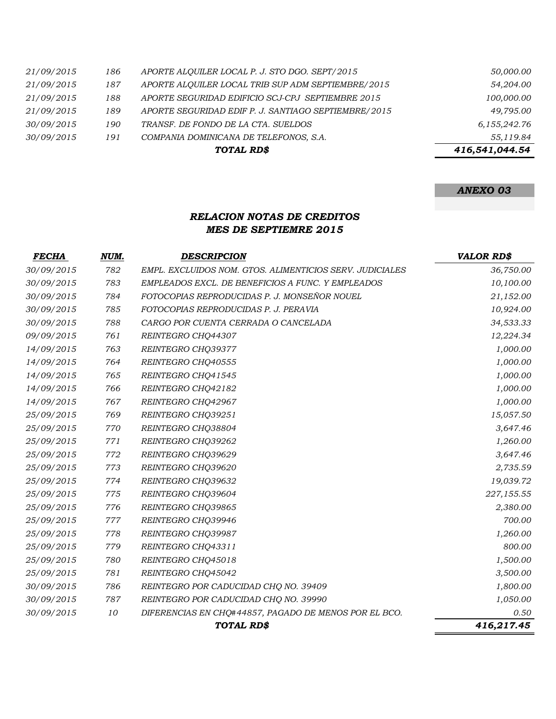|            |     | TOTAL RD\$                                           | 416,541,044.54 |
|------------|-----|------------------------------------------------------|----------------|
| 30/09/2015 | 191 | COMPANIA DOMINICANA DE TELEFONOS, S.A.               | 55,119.84      |
| 30/09/2015 | 190 | TRANSF. DE FONDO DE LA CTA. SUELDOS                  | 6,155,242.76   |
| 21/09/2015 | 189 | APORTE SEGURIDAD EDIF P. J. SANTIAGO SEPTIEMBRE/2015 | 49,795.00      |
| 21/09/2015 | 188 | APORTE SEGURIDAD EDIFICIO SCJ-CPJ SEPTIEMBRE 2015    | 100,000.00     |
| 21/09/2015 | 187 | APORTE ALQUILER LOCAL TRIB SUP ADM SEPTIEMBRE/2015   | 54,204.00      |
| 21/09/2015 | 186 | APORTE ALOUILER LOCAL P. J. STO DGO. SEPT/2015       | 50,000.00      |

#### *RELACION NOTAS DE CREDITOS MES DE SEPTIEMRE 2015*

| <b>FECHA</b> | NUM. | <b>DESCRIPCION</b>                                       | <b>VALOR RD\$</b> |
|--------------|------|----------------------------------------------------------|-------------------|
| 30/09/2015   | 782  | EMPL. EXCLUIDOS NOM. GTOS. ALIMENTICIOS SERV. JUDICIALES | 36,750.00         |
| 30/09/2015   | 783  | EMPLEADOS EXCL. DE BENEFICIOS A FUNC. Y EMPLEADOS        | 10,100.00         |
| 30/09/2015   | 784  | FOTOCOPIAS REPRODUCIDAS P. J. MONSEÑOR NOUEL             | 21,152.00         |
| 30/09/2015   | 785  | FOTOCOPIAS REPRODUCIDAS P. J. PERAVIA                    | 10,924.00         |
| 30/09/2015   | 788  | CARGO POR CUENTA CERRADA O CANCELADA                     | 34,533.33         |
| 09/09/2015   | 761  | REINTEGRO CHQ44307                                       | 12,224.34         |
| 14/09/2015   | 763  | REINTEGRO CHQ39377                                       | 1,000.00          |
| 14/09/2015   | 764  | REINTEGRO CHQ40555                                       | 1,000.00          |
| 14/09/2015   | 765  | REINTEGRO CHQ41545                                       | 1,000.00          |
| 14/09/2015   | 766  | REINTEGRO CHQ42182                                       | 1,000.00          |
| 14/09/2015   | 767  | REINTEGRO CHO42967                                       | 1,000.00          |
| 25/09/2015   | 769  | REINTEGRO CHQ39251                                       | 15,057.50         |
| 25/09/2015   | 770  | REINTEGRO CHQ38804                                       | 3,647.46          |
| 25/09/2015   | 771  | REINTEGRO CHQ39262                                       | 1,260.00          |
| 25/09/2015   | 772  | REINTEGRO CHQ39629                                       | 3,647.46          |
| 25/09/2015   | 773  | REINTEGRO CHQ39620                                       | 2,735.59          |
| 25/09/2015   | 774  | REINTEGRO CHQ39632                                       | 19,039.72         |
| 25/09/2015   | 775  | REINTEGRO CHQ39604                                       | 227,155.55        |
| 25/09/2015   | 776  | REINTEGRO CHQ39865                                       | 2,380.00          |
| 25/09/2015   | 777  | REINTEGRO CHQ39946                                       | 700.00            |
| 25/09/2015   | 778  | REINTEGRO CHQ39987                                       | 1,260.00          |
| 25/09/2015   | 779  | REINTEGRO CHQ43311                                       | 800.00            |
| 25/09/2015   | 780  | REINTEGRO CHQ45018                                       | 1,500.00          |
| 25/09/2015   | 781  | REINTEGRO CHQ45042                                       | 3,500.00          |
| 30/09/2015   | 786  | REINTEGRO POR CADUCIDAD CHQ NO. 39409                    | 1,800.00          |
| 30/09/2015   | 787  | REINTEGRO POR CADUCIDAD CHQ NO. 39990                    | 1,050.00          |
| 30/09/2015   | 10   | DIFERENCIAS EN CHQ#44857, PAGADO DE MENOS POR EL BCO.    | 0.50              |
|              |      | TOTAL RD\$                                               | 416,217.45        |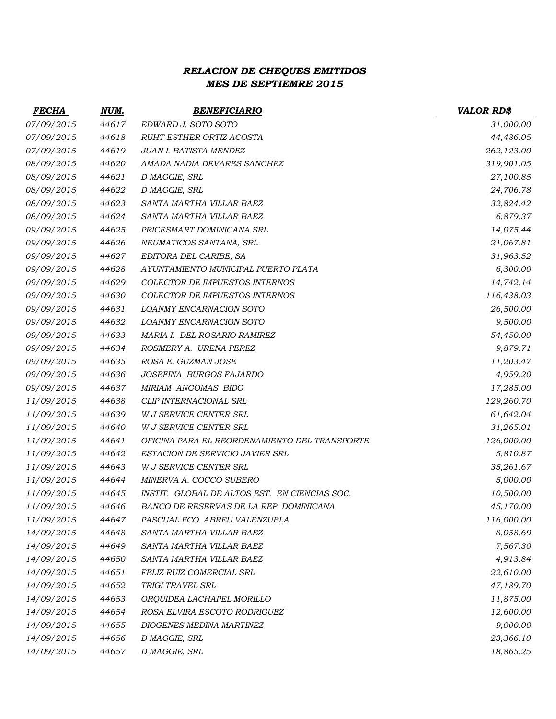## *RELACION DE CHEQUES EMITIDOS MES DE SEPTIEMRE 2015*

| <b>FECHA</b> | NUM.  | <b>BENEFICIARIO</b>                           | <b>VALOR RD\$</b> |
|--------------|-------|-----------------------------------------------|-------------------|
| 07/09/2015   | 44617 | EDWARD J. SOTO SOTO                           | 31,000.00         |
| 07/09/2015   | 44618 | RUHT ESTHER ORTIZ ACOSTA                      | 44,486.05         |
| 07/09/2015   | 44619 | <b>JUAN I. BATISTA MENDEZ</b>                 | 262,123.00        |
| 08/09/2015   | 44620 | AMADA NADIA DEVARES SANCHEZ                   | 319,901.05        |
| 08/09/2015   | 44621 | D MAGGIE, SRL                                 | 27,100.85         |
| 08/09/2015   | 44622 | D MAGGIE, SRL                                 | 24,706.78         |
| 08/09/2015   | 44623 | SANTA MARTHA VILLAR BAEZ                      | 32,824.42         |
| 08/09/2015   | 44624 | SANTA MARTHA VILLAR BAEZ                      | 6,879.37          |
| 09/09/2015   | 44625 | PRICESMART DOMINICANA SRL                     | 14,075.44         |
| 09/09/2015   | 44626 | NEUMATICOS SANTANA, SRL                       | 21,067.81         |
| 09/09/2015   | 44627 | EDITORA DEL CARIBE, SA                        | 31,963.52         |
| 09/09/2015   | 44628 | AYUNTAMIENTO MUNICIPAL PUERTO PLATA           | 6,300.00          |
| 09/09/2015   | 44629 | COLECTOR DE IMPUESTOS INTERNOS                | 14,742.14         |
| 09/09/2015   | 44630 | COLECTOR DE IMPUESTOS INTERNOS                | 116,438.03        |
| 09/09/2015   | 44631 | LOANMY ENCARNACION SOTO                       | 26,500.00         |
| 09/09/2015   | 44632 | LOANMY ENCARNACION SOTO                       | 9,500.00          |
| 09/09/2015   | 44633 | MARIA I. DEL ROSARIO RAMIREZ                  | 54,450.00         |
| 09/09/2015   | 44634 | ROSMERY A. URENA PEREZ                        | 9,879.71          |
| 09/09/2015   | 44635 | ROSA E. GUZMAN JOSE                           | 11,203.47         |
| 09/09/2015   | 44636 | JOSEFINA BURGOS FAJARDO                       | 4,959.20          |
| 09/09/2015   | 44637 | MIRIAM ANGOMAS BIDO                           | 17,285.00         |
| 11/09/2015   | 44638 | CLIP INTERNACIONAL SRL                        | 129,260.70        |
| 11/09/2015   | 44639 | W J SERVICE CENTER SRL                        | 61,642.04         |
| 11/09/2015   | 44640 | <b>W J SERVICE CENTER SRL</b>                 | 31,265.01         |
| 11/09/2015   | 44641 | OFICINA PARA EL REORDENAMIENTO DEL TRANSPORTE | 126,000.00        |
| 11/09/2015   | 44642 | ESTACION DE SERVICIO JAVIER SRL               | 5,810.87          |
| 11/09/2015   | 44643 | <b>W J SERVICE CENTER SRL</b>                 | 35,261.67         |
| 11/09/2015   | 44644 | MINERVA A. COCCO SUBERO                       | 5,000.00          |
| 11/09/2015   | 44645 | INSTIT. GLOBAL DE ALTOS EST. EN CIENCIAS SOC. | 10,500.00         |
| 11/09/2015   | 44646 | BANCO DE RESERVAS DE LA REP. DOMINICANA       | 45,170.00         |
| 11/09/2015   | 44647 | PASCUAL FCO. ABREU VALENZUELA                 | 116,000.00        |
| 14/09/2015   | 44648 | SANTA MARTHA VILLAR BAEZ                      | 8,058.69          |
| 14/09/2015   | 44649 | SANTA MARTHA VILLAR BAEZ                      | 7,567.30          |
| 14/09/2015   | 44650 | SANTA MARTHA VILLAR BAEZ                      | 4,913.84          |
| 14/09/2015   | 44651 | FELIZ RUIZ COMERCIAL SRL                      | 22,610.00         |
| 14/09/2015   | 44652 | TRIGI TRAVEL SRL                              | 47,189.70         |
| 14/09/2015   | 44653 | ORQUIDEA LACHAPEL MORILLO                     | 11,875.00         |
| 14/09/2015   | 44654 | ROSA ELVIRA ESCOTO RODRIGUEZ                  | 12,600.00         |
| 14/09/2015   | 44655 | DIOGENES MEDINA MARTINEZ                      | 9,000.00          |
| 14/09/2015   | 44656 | D MAGGIE, SRL                                 | 23,366.10         |
| 14/09/2015   | 44657 | D MAGGIE, SRL                                 | 18,865.25         |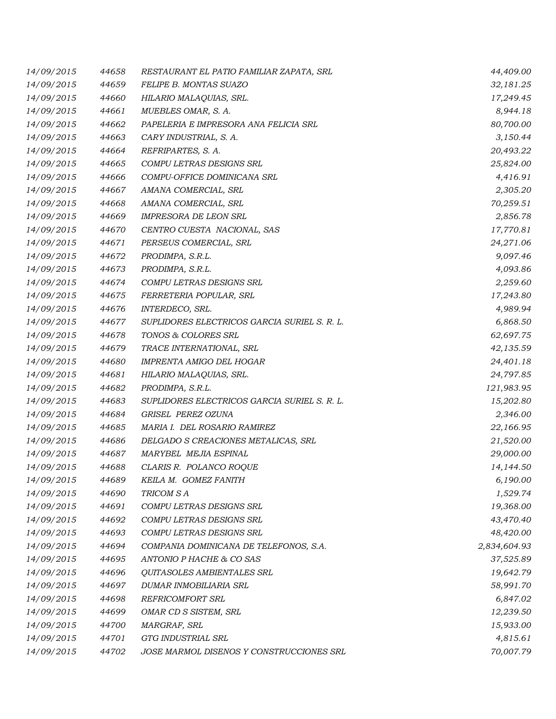| 14/09/2015 | 44658 | RESTAURANT EL PATIO FAMILIAR ZAPATA, SRL     | 44,409.00    |
|------------|-------|----------------------------------------------|--------------|
| 14/09/2015 | 44659 | FELIPE B. MONTAS SUAZO                       | 32,181.25    |
| 14/09/2015 | 44660 | HILARIO MALAQUIAS, SRL.                      | 17,249.45    |
| 14/09/2015 | 44661 | MUEBLES OMAR, S. A.                          | 8,944.18     |
| 14/09/2015 | 44662 | PAPELERIA E IMPRESORA ANA FELICIA SRL        | 80,700.00    |
| 14/09/2015 | 44663 | CARY INDUSTRIAL, S. A.                       | 3,150.44     |
| 14/09/2015 | 44664 | REFRIPARTES, S. A.                           | 20,493.22    |
| 14/09/2015 | 44665 | COMPU LETRAS DESIGNS SRL                     | 25,824.00    |
| 14/09/2015 | 44666 | COMPU-OFFICE DOMINICANA SRL                  | 4,416.91     |
| 14/09/2015 | 44667 | AMANA COMERCIAL, SRL                         | 2,305.20     |
| 14/09/2015 | 44668 | AMANA COMERCIAL, SRL                         | 70,259.51    |
| 14/09/2015 | 44669 | <b>IMPRESORA DE LEON SRL</b>                 | 2,856.78     |
| 14/09/2015 | 44670 | CENTRO CUESTA NACIONAL, SAS                  | 17,770.81    |
| 14/09/2015 | 44671 | PERSEUS COMERCIAL, SRL                       | 24,271.06    |
| 14/09/2015 | 44672 | PRODIMPA, S.R.L.                             | 9,097.46     |
| 14/09/2015 | 44673 | PRODIMPA, S.R.L.                             | 4,093.86     |
| 14/09/2015 | 44674 | COMPU LETRAS DESIGNS SRL                     | 2,259.60     |
| 14/09/2015 | 44675 | FERRETERIA POPULAR, SRL                      | 17,243.80    |
| 14/09/2015 | 44676 | INTERDECO, SRL.                              | 4,989.94     |
| 14/09/2015 | 44677 | SUPLIDORES ELECTRICOS GARCIA SURIEL S. R. L. | 6,868.50     |
| 14/09/2015 | 44678 | TONOS & COLORES SRL                          | 62,697.75    |
| 14/09/2015 | 44679 | TRACE INTERNATIONAL, SRL                     | 42,135.59    |
| 14/09/2015 | 44680 | IMPRENTA AMIGO DEL HOGAR                     | 24,401.18    |
| 14/09/2015 | 44681 | HILARIO MALAQUIAS, SRL.                      | 24,797.85    |
| 14/09/2015 | 44682 | PRODIMPA, S.R.L.                             | 121,983.95   |
| 14/09/2015 | 44683 | SUPLIDORES ELECTRICOS GARCIA SURIEL S. R. L. | 15,202.80    |
| 14/09/2015 | 44684 | GRISEL PEREZ OZUNA                           | 2,346.00     |
| 14/09/2015 | 44685 | MARIA I. DEL ROSARIO RAMIREZ                 | 22,166.95    |
| 14/09/2015 | 44686 | DELGADO S CREACIONES METALICAS, SRL          | 21,520.00    |
| 14/09/2015 | 44687 | <b>MARYBEL MEJIA ESPINAL</b>                 | 29,000.00    |
| 14/09/2015 | 44688 | CLARIS R. POLANCO ROQUE                      | 14,144.50    |
| 14/09/2015 | 44689 | KEILA M. GOMEZ FANITH                        | 6,190.00     |
| 14/09/2015 | 44690 | TRICOM SA                                    | 1,529.74     |
| 14/09/2015 | 44691 | COMPU LETRAS DESIGNS SRL                     | 19,368.00    |
| 14/09/2015 | 44692 | COMPU LETRAS DESIGNS SRL                     | 43,470.40    |
| 14/09/2015 | 44693 | COMPU LETRAS DESIGNS SRL                     | 48,420.00    |
| 14/09/2015 | 44694 | COMPANIA DOMINICANA DE TELEFONOS, S.A.       | 2,834,604.93 |
| 14/09/2015 | 44695 | ANTONIO P HACHE & CO SAS                     | 37,525.89    |
| 14/09/2015 | 44696 | QUITASOLES AMBIENTALES SRL                   | 19,642.79    |
| 14/09/2015 | 44697 | DUMAR INMOBILIARIA SRL                       | 58,991.70    |
| 14/09/2015 | 44698 | REFRICOMFORT SRL                             | 6,847.02     |
| 14/09/2015 | 44699 | OMAR CD S SISTEM, SRL                        | 12,239.50    |
| 14/09/2015 | 44700 | MARGRAF, SRL                                 | 15,933.00    |
| 14/09/2015 | 44701 | GTG INDUSTRIAL SRL                           | 4,815.61     |
| 14/09/2015 | 44702 | JOSE MARMOL DISENOS Y CONSTRUCCIONES SRL     | 70,007.79    |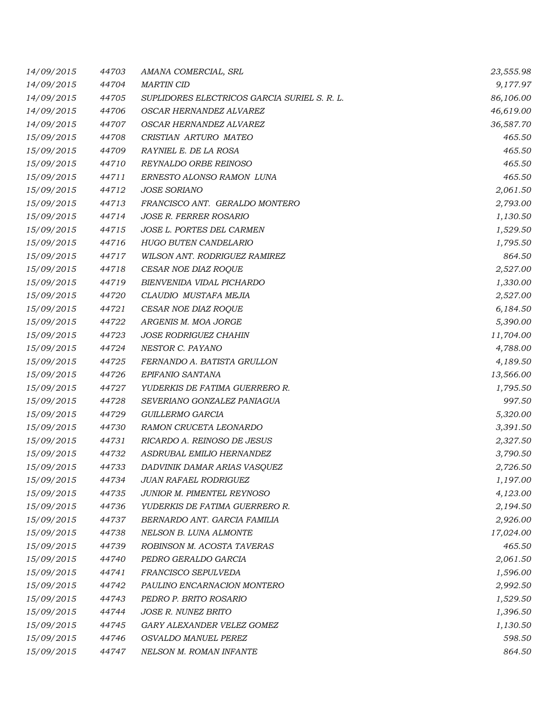| 14/09/2015 | 44703 | AMANA COMERCIAL, SRL                         | 23,555.98 |
|------------|-------|----------------------------------------------|-----------|
| 14/09/2015 | 44704 | <b>MARTIN CID</b>                            | 9,177.97  |
| 14/09/2015 | 44705 | SUPLIDORES ELECTRICOS GARCIA SURIEL S. R. L. | 86,106.00 |
| 14/09/2015 | 44706 | OSCAR HERNANDEZ ALVAREZ                      | 46,619.00 |
| 14/09/2015 | 44707 | OSCAR HERNANDEZ ALVAREZ                      | 36,587.70 |
| 15/09/2015 | 44708 | CRISTIAN ARTURO MATEO                        | 465.50    |
| 15/09/2015 | 44709 | RAYNIEL E. DE LA ROSA                        | 465.50    |
| 15/09/2015 | 44710 | REYNALDO ORBE REINOSO                        | 465.50    |
| 15/09/2015 | 44711 | ERNESTO ALONSO RAMON LUNA                    | 465.50    |
| 15/09/2015 | 44712 | <b>JOSE SORIANO</b>                          | 2,061.50  |
| 15/09/2015 | 44713 | FRANCISCO ANT. GERALDO MONTERO               | 2,793.00  |
| 15/09/2015 | 44714 | <b>JOSE R. FERRER ROSARIO</b>                | 1,130.50  |
| 15/09/2015 | 44715 | JOSE L. PORTES DEL CARMEN                    | 1,529.50  |
| 15/09/2015 | 44716 | <b>HUGO BUTEN CANDELARIO</b>                 | 1,795.50  |
| 15/09/2015 | 44717 | WILSON ANT. RODRIGUEZ RAMIREZ                | 864.50    |
| 15/09/2015 | 44718 | CESAR NOE DIAZ ROQUE                         | 2,527.00  |
| 15/09/2015 | 44719 | BIENVENIDA VIDAL PICHARDO                    | 1,330.00  |
| 15/09/2015 | 44720 | CLAUDIO MUSTAFA MEJIA                        | 2,527.00  |
| 15/09/2015 | 44721 | CESAR NOE DIAZ ROQUE                         | 6,184.50  |
| 15/09/2015 | 44722 | ARGENIS M. MOA JORGE                         | 5,390.00  |
| 15/09/2015 | 44723 | <b>JOSE RODRIGUEZ CHAHIN</b>                 | 11,704.00 |
| 15/09/2015 | 44724 | NESTOR C. PAYANO                             | 4,788.00  |
| 15/09/2015 | 44725 | FERNANDO A. BATISTA GRULLON                  | 4,189.50  |
| 15/09/2015 | 44726 | EPIFANIO SANTANA                             | 13,566.00 |
| 15/09/2015 | 44727 | YUDERKIS DE FATIMA GUERRERO R.               | 1,795.50  |
| 15/09/2015 | 44728 | SEVERIANO GONZALEZ PANIAGUA                  | 997.50    |
| 15/09/2015 | 44729 | GUILLERMO GARCIA                             | 5,320.00  |
| 15/09/2015 | 44730 | RAMON CRUCETA LEONARDO                       | 3,391.50  |
| 15/09/2015 | 44731 | RICARDO A. REINOSO DE JESUS                  | 2,327.50  |
| 15/09/2015 | 44732 | ASDRUBAL EMILIO HERNANDEZ                    | 3,790.50  |
| 15/09/2015 | 44733 | DADVINIK DAMAR ARIAS VASQUEZ                 | 2,726.50  |
| 15/09/2015 | 44734 | <b>JUAN RAFAEL RODRIGUEZ</b>                 | 1,197.00  |
| 15/09/2015 | 44735 | <b>JUNIOR M. PIMENTEL REYNOSO</b>            | 4,123.00  |
| 15/09/2015 | 44736 | YUDERKIS DE FATIMA GUERRERO R.               | 2,194.50  |
| 15/09/2015 | 44737 | BERNARDO ANT. GARCIA FAMILIA                 | 2,926.00  |
| 15/09/2015 | 44738 | NELSON B. LUNA ALMONTE                       | 17,024.00 |
| 15/09/2015 | 44739 | ROBINSON M. ACOSTA TAVERAS                   | 465.50    |
| 15/09/2015 | 44740 | PEDRO GERALDO GARCIA                         | 2,061.50  |
| 15/09/2015 | 44741 | FRANCISCO SEPULVEDA                          | 1,596.00  |
| 15/09/2015 | 44742 | PAULINO ENCARNACION MONTERO                  | 2,992.50  |
| 15/09/2015 | 44743 | PEDRO P. BRITO ROSARIO                       | 1,529.50  |
| 15/09/2015 | 44744 | <b>JOSE R. NUNEZ BRITO</b>                   | 1,396.50  |
| 15/09/2015 | 44745 | GARY ALEXANDER VELEZ GOMEZ                   | 1,130.50  |
| 15/09/2015 | 44746 | OSVALDO MANUEL PEREZ                         | 598.50    |
| 15/09/2015 | 44747 | NELSON M. ROMAN INFANTE                      | 864.50    |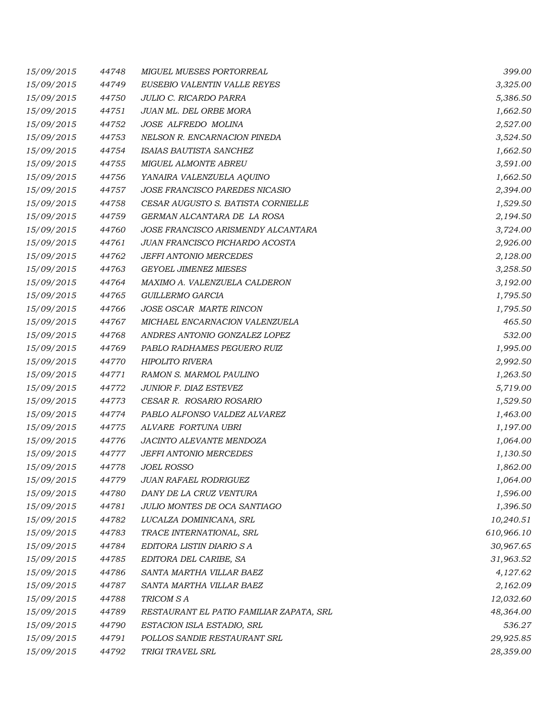| 15/09/2015 | 44748 | MIGUEL MUESES PORTORREAL                 | 399.00     |
|------------|-------|------------------------------------------|------------|
| 15/09/2015 | 44749 | EUSEBIO VALENTIN VALLE REYES             | 3,325.00   |
| 15/09/2015 | 44750 | JULIO C. RICARDO PARRA                   | 5,386.50   |
| 15/09/2015 | 44751 | JUAN ML. DEL ORBE MORA                   | 1,662.50   |
| 15/09/2015 | 44752 | JOSE ALFREDO MOLINA                      | 2,527.00   |
| 15/09/2015 | 44753 | NELSON R. ENCARNACION PINEDA             | 3,524.50   |
| 15/09/2015 | 44754 | ISAIAS BAUTISTA SANCHEZ                  | 1,662.50   |
| 15/09/2015 | 44755 | <b>MIGUEL ALMONTE ABREU</b>              | 3,591.00   |
| 15/09/2015 | 44756 | YANAIRA VALENZUELA AQUINO                | 1,662.50   |
| 15/09/2015 | 44757 | JOSE FRANCISCO PAREDES NICASIO           | 2,394.00   |
| 15/09/2015 | 44758 | CESAR AUGUSTO S. BATISTA CORNIELLE       | 1,529.50   |
| 15/09/2015 | 44759 | GERMAN ALCANTARA DE LA ROSA              | 2,194.50   |
| 15/09/2015 | 44760 | JOSE FRANCISCO ARISMENDY ALCANTARA       | 3,724.00   |
| 15/09/2015 | 44761 | JUAN FRANCISCO PICHARDO ACOSTA           | 2,926.00   |
| 15/09/2015 | 44762 | <b>JEFFI ANTONIO MERCEDES</b>            | 2,128.00   |
| 15/09/2015 | 44763 | <b>GEYOEL JIMENEZ MIESES</b>             | 3,258.50   |
| 15/09/2015 | 44764 | MAXIMO A. VALENZUELA CALDERON            | 3,192.00   |
| 15/09/2015 | 44765 | GUILLERMO GARCIA                         | 1,795.50   |
| 15/09/2015 | 44766 | JOSE OSCAR MARTE RINCON                  | 1,795.50   |
| 15/09/2015 | 44767 | MICHAEL ENCARNACION VALENZUELA           | 465.50     |
| 15/09/2015 | 44768 | ANDRES ANTONIO GONZALEZ LOPEZ            | 532.00     |
| 15/09/2015 | 44769 | PABLO RADHAMES PEGUERO RUIZ              | 1,995.00   |
| 15/09/2015 | 44770 | <b>HIPOLITO RIVERA</b>                   | 2,992.50   |
| 15/09/2015 | 44771 | RAMON S. MARMOL PAULINO                  | 1,263.50   |
| 15/09/2015 | 44772 | JUNIOR F. DIAZ ESTEVEZ                   | 5,719.00   |
| 15/09/2015 | 44773 | CESAR R. ROSARIO ROSARIO                 | 1,529.50   |
| 15/09/2015 | 44774 | PABLO ALFONSO VALDEZ ALVAREZ             | 1,463.00   |
| 15/09/2015 | 44775 | ALVARE FORTUNA UBRI                      | 1,197.00   |
| 15/09/2015 | 44776 | JACINTO ALEVANTE MENDOZA                 | 1,064.00   |
| 15/09/2015 | 44777 | JEFFI ANTONIO MERCEDES                   | 1,130.50   |
| 15/09/2015 | 44778 | <b>JOEL ROSSO</b>                        | 1,862.00   |
| 15/09/2015 | 44779 | <b>JUAN RAFAEL RODRIGUEZ</b>             | 1,064.00   |
| 15/09/2015 | 44780 | DANY DE LA CRUZ VENTURA                  | 1,596.00   |
| 15/09/2015 | 44781 | JULIO MONTES DE OCA SANTIAGO             | 1,396.50   |
| 15/09/2015 | 44782 | LUCALZA DOMINICANA, SRL                  | 10,240.51  |
| 15/09/2015 | 44783 | TRACE INTERNATIONAL, SRL                 | 610,966.10 |
| 15/09/2015 | 44784 | EDITORA LISTIN DIARIO S A                | 30,967.65  |
| 15/09/2015 | 44785 | EDITORA DEL CARIBE, SA                   | 31,963.52  |
| 15/09/2015 | 44786 | SANTA MARTHA VILLAR BAEZ                 | 4,127.62   |
| 15/09/2015 | 44787 | SANTA MARTHA VILLAR BAEZ                 | 2,162.09   |
| 15/09/2015 | 44788 | TRICOM S A                               | 12,032.60  |
| 15/09/2015 | 44789 | RESTAURANT EL PATIO FAMILIAR ZAPATA, SRL | 48,364.00  |
| 15/09/2015 | 44790 | ESTACION ISLA ESTADIO, SRL               | 536.27     |
| 15/09/2015 | 44791 | POLLOS SANDIE RESTAURANT SRL             | 29,925.85  |
| 15/09/2015 | 44792 | TRIGI TRAVEL SRL                         | 28,359.00  |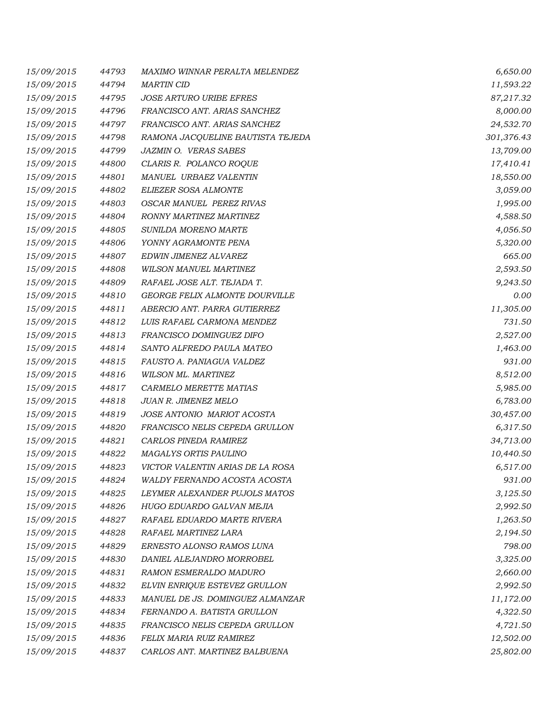| 15/09/2015 | 44793 | MAXIMO WINNAR PERALTA MELENDEZ    | 6,650.00   |
|------------|-------|-----------------------------------|------------|
| 15/09/2015 | 44794 | <b>MARTIN CID</b>                 | 11,593.22  |
| 15/09/2015 | 44795 | <b>JOSE ARTURO URIBE EFRES</b>    | 87,217.32  |
| 15/09/2015 | 44796 | FRANCISCO ANT. ARIAS SANCHEZ      | 8,000.00   |
| 15/09/2015 | 44797 | FRANCISCO ANT. ARIAS SANCHEZ      | 24,532.70  |
| 15/09/2015 | 44798 | RAMONA JACQUELINE BAUTISTA TEJEDA | 301,376.43 |
| 15/09/2015 | 44799 | <b>JAZMIN O. VERAS SABES</b>      | 13,709.00  |
| 15/09/2015 | 44800 | CLARIS R. POLANCO ROQUE           | 17,410.41  |
| 15/09/2015 | 44801 | MANUEL URBAEZ VALENTIN            | 18,550.00  |
| 15/09/2015 | 44802 | ELIEZER SOSA ALMONTE              | 3,059.00   |
| 15/09/2015 | 44803 | OSCAR MANUEL PEREZ RIVAS          | 1,995.00   |
| 15/09/2015 | 44804 | RONNY MARTINEZ MARTINEZ           | 4,588.50   |
| 15/09/2015 | 44805 | SUNILDA MORENO MARTE              | 4,056.50   |
| 15/09/2015 | 44806 | YONNY AGRAMONTE PENA              | 5,320.00   |
| 15/09/2015 | 44807 | EDWIN JIMENEZ ALVAREZ             | 665.00     |
| 15/09/2015 | 44808 | <b>WILSON MANUEL MARTINEZ</b>     | 2,593.50   |
| 15/09/2015 | 44809 | RAFAEL JOSE ALT. TEJADA T.        | 9,243.50   |
| 15/09/2015 | 44810 | GEORGE FELIX ALMONTE DOURVILLE    | 0.00       |
| 15/09/2015 | 44811 | ABERCIO ANT. PARRA GUTIERREZ      | 11,305.00  |
| 15/09/2015 | 44812 | LUIS RAFAEL CARMONA MENDEZ        | 731.50     |
| 15/09/2015 | 44813 | FRANCISCO DOMINGUEZ DIFO          | 2,527.00   |
| 15/09/2015 | 44814 | SANTO ALFREDO PAULA MATEO         | 1,463.00   |
| 15/09/2015 | 44815 | FAUSTO A. PANIAGUA VALDEZ         | 931.00     |
| 15/09/2015 | 44816 | WILSON ML. MARTINEZ               | 8,512.00   |
| 15/09/2015 | 44817 | CARMELO MERETTE MATIAS            | 5,985.00   |
| 15/09/2015 | 44818 | JUAN R. JIMENEZ MELO              | 6,783.00   |
| 15/09/2015 | 44819 | JOSE ANTONIO MARIOT ACOSTA        | 30,457.00  |
| 15/09/2015 | 44820 | FRANCISCO NELIS CEPEDA GRULLON    | 6,317.50   |
| 15/09/2015 | 44821 | CARLOS PINEDA RAMIREZ             | 34,713.00  |
| 15/09/2015 | 44822 | MAGALYS ORTIS PAULINO             | 10,440.50  |
| 15/09/2015 | 44823 | VICTOR VALENTIN ARIAS DE LA ROSA  | 6,517.00   |
| 15/09/2015 | 44824 | WALDY FERNANDO ACOSTA ACOSTA      | 931.00     |
| 15/09/2015 | 44825 | LEYMER ALEXANDER PUJOLS MATOS     | 3,125.50   |
| 15/09/2015 | 44826 | HUGO EDUARDO GALVAN MEJIA         | 2,992.50   |
| 15/09/2015 | 44827 | RAFAEL EDUARDO MARTE RIVERA       | 1,263.50   |
| 15/09/2015 | 44828 | RAFAEL MARTINEZ LARA              | 2,194.50   |
| 15/09/2015 | 44829 | ERNESTO ALONSO RAMOS LUNA         | 798.00     |
| 15/09/2015 | 44830 | DANIEL ALEJANDRO MORROBEL         | 3,325.00   |
| 15/09/2015 | 44831 | RAMON ESMERALDO MADURO            | 2,660.00   |
| 15/09/2015 | 44832 | ELVIN ENRIQUE ESTEVEZ GRULLON     | 2,992.50   |
| 15/09/2015 | 44833 | MANUEL DE JS. DOMINGUEZ ALMANZAR  | 11,172.00  |
| 15/09/2015 | 44834 | FERNANDO A. BATISTA GRULLON       | 4,322.50   |
| 15/09/2015 | 44835 | FRANCISCO NELIS CEPEDA GRULLON    | 4,721.50   |
| 15/09/2015 | 44836 | FELIX MARIA RUIZ RAMIREZ          | 12,502.00  |
| 15/09/2015 | 44837 | CARLOS ANT. MARTINEZ BALBUENA     | 25,802.00  |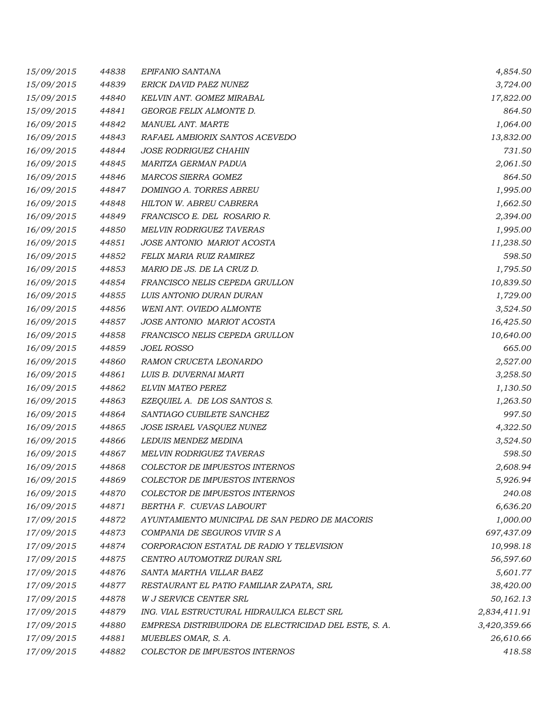| 15/09/2015 | 44838 | EPIFANIO SANTANA                                      | 4,854.50     |
|------------|-------|-------------------------------------------------------|--------------|
| 15/09/2015 | 44839 | ERICK DAVID PAEZ NUNEZ                                | 3,724.00     |
| 15/09/2015 | 44840 | KELVIN ANT. GOMEZ MIRABAL                             | 17,822.00    |
| 15/09/2015 | 44841 | GEORGE FELIX ALMONTE D.                               | 864.50       |
| 16/09/2015 | 44842 | MANUEL ANT. MARTE                                     | 1,064.00     |
| 16/09/2015 | 44843 | RAFAEL AMBIORIX SANTOS ACEVEDO                        | 13,832.00    |
| 16/09/2015 | 44844 | <b>JOSE RODRIGUEZ CHAHIN</b>                          | 731.50       |
| 16/09/2015 | 44845 | MARITZA GERMAN PADUA                                  | 2,061.50     |
| 16/09/2015 | 44846 | MARCOS SIERRA GOMEZ                                   | 864.50       |
| 16/09/2015 | 44847 | DOMINGO A. TORRES ABREU                               | 1,995.00     |
| 16/09/2015 | 44848 | HILTON W. ABREU CABRERA                               | 1,662.50     |
| 16/09/2015 | 44849 | FRANCISCO E. DEL ROSARIO R.                           | 2,394.00     |
| 16/09/2015 | 44850 | MELVIN RODRIGUEZ TAVERAS                              | 1,995.00     |
| 16/09/2015 | 44851 | JOSE ANTONIO MARIOT ACOSTA                            | 11,238.50    |
| 16/09/2015 | 44852 | FELIX MARIA RUIZ RAMIREZ                              | 598.50       |
| 16/09/2015 | 44853 | MARIO DE JS. DE LA CRUZ D.                            | 1,795.50     |
| 16/09/2015 | 44854 | FRANCISCO NELIS CEPEDA GRULLON                        | 10,839.50    |
| 16/09/2015 | 44855 | LUIS ANTONIO DURAN DURAN                              | 1,729.00     |
| 16/09/2015 | 44856 | WENI ANT. OVIEDO ALMONTE                              | 3,524.50     |
| 16/09/2015 | 44857 | JOSE ANTONIO MARIOT ACOSTA                            | 16,425.50    |
| 16/09/2015 | 44858 | FRANCISCO NELIS CEPEDA GRULLON                        | 10,640.00    |
| 16/09/2015 | 44859 | <i>JOEL ROSSO</i>                                     | 665.00       |
| 16/09/2015 | 44860 | RAMON CRUCETA LEONARDO                                | 2,527.00     |
| 16/09/2015 | 44861 | LUIS B. DUVERNAI MARTI                                | 3,258.50     |
| 16/09/2015 | 44862 | <b>ELVIN MATEO PEREZ</b>                              | 1,130.50     |
| 16/09/2015 | 44863 | EZEQUIEL A. DE LOS SANTOS S.                          | 1,263.50     |
| 16/09/2015 | 44864 | SANTIAGO CUBILETE SANCHEZ                             | 997.50       |
| 16/09/2015 | 44865 | JOSE ISRAEL VASQUEZ NUNEZ                             | 4,322.50     |
| 16/09/2015 | 44866 | <b>LEDUIS MENDEZ MEDINA</b>                           | 3,524.50     |
| 16/09/2015 | 44867 | <b>MELVIN RODRIGUEZ TAVERAS</b>                       | 598.50       |
| 16/09/2015 | 44868 | COLECTOR DE IMPUESTOS INTERNOS                        | 2,608.94     |
| 16/09/2015 | 44869 | COLECTOR DE IMPUESTOS INTERNOS                        | 5,926.94     |
| 16/09/2015 | 44870 | COLECTOR DE IMPUESTOS INTERNOS                        | 240.08       |
| 16/09/2015 | 44871 | BERTHA F. CUEVAS LABOURT                              | 6,636.20     |
| 17/09/2015 | 44872 | AYUNTAMIENTO MUNICIPAL DE SAN PEDRO DE MACORIS        | 1,000.00     |
| 17/09/2015 | 44873 | COMPANIA DE SEGUROS VIVIR S A                         | 697,437.09   |
| 17/09/2015 | 44874 | CORPORACION ESTATAL DE RADIO Y TELEVISION             | 10,998.18    |
| 17/09/2015 | 44875 | CENTRO AUTOMOTRIZ DURAN SRL                           | 56,597.60    |
| 17/09/2015 | 44876 | SANTA MARTHA VILLAR BAEZ                              | 5,601.77     |
| 17/09/2015 | 44877 | RESTAURANT EL PATIO FAMILIAR ZAPATA, SRL              | 38,420.00    |
| 17/09/2015 | 44878 | <b>W J SERVICE CENTER SRL</b>                         | 50,162.13    |
| 17/09/2015 | 44879 | ING. VIAL ESTRUCTURAL HIDRAULICA ELECT SRL            | 2,834,411.91 |
| 17/09/2015 | 44880 | EMPRESA DISTRIBUIDORA DE ELECTRICIDAD DEL ESTE, S. A. | 3,420,359.66 |
| 17/09/2015 | 44881 | MUEBLES OMAR, S. A.                                   | 26,610.66    |
| 17/09/2015 | 44882 | COLECTOR DE IMPUESTOS INTERNOS                        | 418.58       |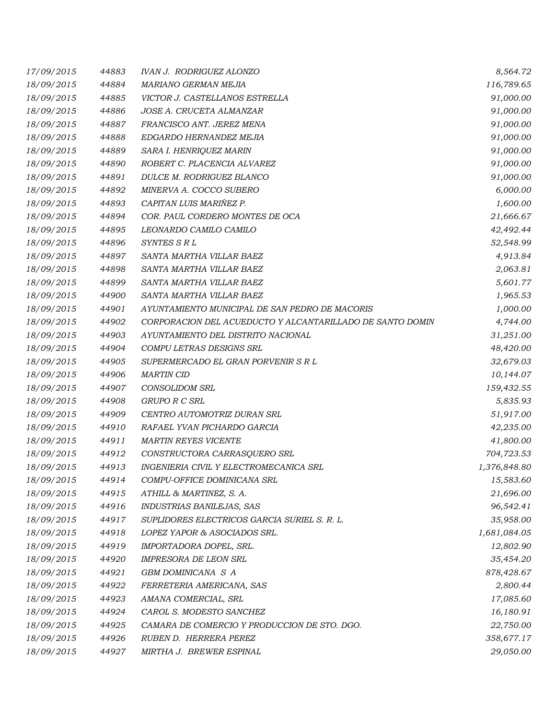| 17/09/2015 | 44883 | <b>IVAN J. RODRIGUEZ ALONZO</b>                           | 8,564.72     |
|------------|-------|-----------------------------------------------------------|--------------|
| 18/09/2015 | 44884 | MARIANO GERMAN MEJIA                                      | 116,789.65   |
| 18/09/2015 | 44885 | VICTOR J. CASTELLANOS ESTRELLA                            | 91,000.00    |
| 18/09/2015 | 44886 | JOSE A. CRUCETA ALMANZAR                                  | 91,000.00    |
| 18/09/2015 | 44887 | FRANCISCO ANT. JEREZ MENA                                 | 91,000.00    |
| 18/09/2015 | 44888 | EDGARDO HERNANDEZ MEJIA                                   | 91,000.00    |
| 18/09/2015 | 44889 | SARA I. HENRIQUEZ MARIN                                   | 91,000.00    |
| 18/09/2015 | 44890 | ROBERT C. PLACENCIA ALVAREZ                               | 91,000.00    |
| 18/09/2015 | 44891 | DULCE M. RODRIGUEZ BLANCO                                 | 91,000.00    |
| 18/09/2015 | 44892 | MINERVA A. COCCO SUBERO                                   | 6,000.00     |
| 18/09/2015 | 44893 | CAPITAN LUIS MARIÑEZ P.                                   | 1,600.00     |
| 18/09/2015 | 44894 | COR. PAUL CORDERO MONTES DE OCA                           | 21,666.67    |
| 18/09/2015 | 44895 | LEONARDO CAMILO CAMILO                                    | 42,492.44    |
| 18/09/2015 | 44896 | SYNTES S R L                                              | 52,548.99    |
| 18/09/2015 | 44897 | SANTA MARTHA VILLAR BAEZ                                  | 4,913.84     |
| 18/09/2015 | 44898 | SANTA MARTHA VILLAR BAEZ                                  | 2,063.81     |
| 18/09/2015 | 44899 | SANTA MARTHA VILLAR BAEZ                                  | 5,601.77     |
| 18/09/2015 | 44900 | SANTA MARTHA VILLAR BAEZ                                  | 1,965.53     |
| 18/09/2015 | 44901 | AYUNTAMIENTO MUNICIPAL DE SAN PEDRO DE MACORIS            | 1,000.00     |
| 18/09/2015 | 44902 | CORPORACION DEL ACUEDUCTO Y ALCANTARILLADO DE SANTO DOMIN | 4,744.00     |
| 18/09/2015 | 44903 | AYUNTAMIENTO DEL DISTRITO NACIONAL                        | 31,251.00    |
| 18/09/2015 | 44904 | COMPU LETRAS DESIGNS SRL                                  | 48,420.00    |
| 18/09/2015 | 44905 | SUPERMERCADO EL GRAN PORVENIR S R L                       | 32,679.03    |
| 18/09/2015 | 44906 | <b>MARTIN CID</b>                                         | 10,144.07    |
| 18/09/2015 | 44907 | <b>CONSOLIDOM SRL</b>                                     | 159,432.55   |
| 18/09/2015 | 44908 | GRUPO R C SRL                                             | 5,835.93     |
| 18/09/2015 | 44909 | CENTRO AUTOMOTRIZ DURAN SRL                               | 51,917.00    |
| 18/09/2015 | 44910 | RAFAEL YVAN PICHARDO GARCIA                               | 42,235.00    |
| 18/09/2015 | 44911 | <b>MARTIN REYES VICENTE</b>                               | 41,800.00    |
| 18/09/2015 | 44912 | CONSTRUCTORA CARRASQUERO SRL                              | 704,723.53   |
| 18/09/2015 | 44913 | INGENIERIA CIVIL Y ELECTROMECANICA SRL                    | 1,376,848.80 |
| 18/09/2015 | 44914 | COMPU-OFFICE DOMINICANA SRL                               | 15,583.60    |
| 18/09/2015 | 44915 | ATHILL & MARTINEZ, S. A.                                  | 21,696.00    |
| 18/09/2015 | 44916 | INDUSTRIAS BANILEJAS, SAS                                 | 96,542.41    |
| 18/09/2015 | 44917 | SUPLIDORES ELECTRICOS GARCIA SURIEL S. R. L.              | 35,958.00    |
| 18/09/2015 | 44918 | LOPEZ YAPOR & ASOCIADOS SRL.                              | 1,681,084.05 |
| 18/09/2015 | 44919 | IMPORTADORA DOPEL, SRL.                                   | 12,802.90    |
| 18/09/2015 | 44920 | IMPRESORA DE LEON SRL                                     | 35,454.20    |
| 18/09/2015 | 44921 | GBM DOMINICANA S A                                        | 878,428.67   |
| 18/09/2015 | 44922 | FERRETERIA AMERICANA, SAS                                 | 2,800.44     |
| 18/09/2015 | 44923 | AMANA COMERCIAL, SRL                                      | 17,085.60    |
| 18/09/2015 | 44924 | CAROL S. MODESTO SANCHEZ                                  | 16,180.91    |
| 18/09/2015 | 44925 | CAMARA DE COMERCIO Y PRODUCCION DE STO. DGO.              | 22,750.00    |
| 18/09/2015 | 44926 | RUBEN D. HERRERA PEREZ                                    | 358,677.17   |
| 18/09/2015 | 44927 | MIRTHA J. BREWER ESPINAL                                  | 29,050.00    |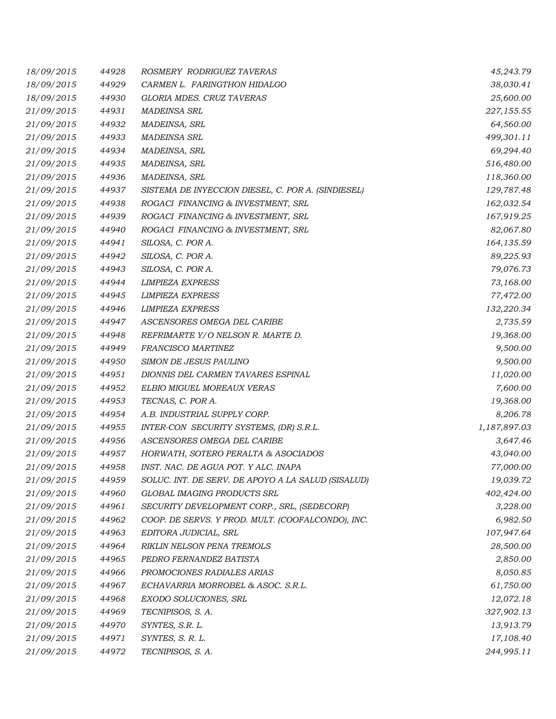| 18/09/2015 | 44928 | ROSMERY RODRIGUEZ TAVERAS                          | 45,243.79    |
|------------|-------|----------------------------------------------------|--------------|
| 18/09/2015 | 44929 | CARMEN L. FARINGTHON HIDALGO                       | 38,030.41    |
| 18/09/2015 | 44930 | GLORIA MDES. CRUZ TAVERAS                          | 25,600.00    |
| 21/09/2015 | 44931 | <b>MADEINSA SRL</b>                                | 227,155.55   |
| 21/09/2015 | 44932 | MADEINSA, SRL                                      | 64,560.00    |
| 21/09/2015 | 44933 | <b>MADEINSA SRL</b>                                | 499,301.11   |
| 21/09/2015 | 44934 | MADEINSA, SRL                                      | 69,294.40    |
| 21/09/2015 | 44935 | MADEINSA, SRL                                      | 516,480.00   |
| 21/09/2015 | 44936 | MADEINSA, SRL                                      | 118,360.00   |
| 21/09/2015 | 44937 | SISTEMA DE INYECCION DIESEL, C. POR A. (SINDIESEL) | 129,787.48   |
| 21/09/2015 | 44938 | ROGACI FINANCING & INVESTMENT, SRL                 | 162,032.54   |
| 21/09/2015 | 44939 | ROGACI FINANCING & INVESTMENT, SRL                 | 167,919.25   |
| 21/09/2015 | 44940 | ROGACI FINANCING & INVESTMENT, SRL                 | 82,067.80    |
| 21/09/2015 | 44941 | SILOSA, C. POR A.                                  | 164,135.59   |
| 21/09/2015 | 44942 | SILOSA, C. POR A.                                  | 89,225.93    |
| 21/09/2015 | 44943 | SILOSA, C. POR A.                                  | 79,076.73    |
| 21/09/2015 | 44944 | <b>LIMPIEZA EXPRESS</b>                            | 73,168.00    |
| 21/09/2015 | 44945 | <b>LIMPIEZA EXPRESS</b>                            | 77,472.00    |
| 21/09/2015 | 44946 | <b>LIMPIEZA EXPRESS</b>                            | 132,220.34   |
| 21/09/2015 | 44947 | ASCENSORES OMEGA DEL CARIBE                        | 2,735.59     |
| 21/09/2015 | 44948 | REFRIMARTE Y/O NELSON R. MARTE D.                  | 19,368.00    |
| 21/09/2015 | 44949 | FRANCISCO MARTINEZ                                 | 9,500.00     |
| 21/09/2015 | 44950 | SIMON DE JESUS PAULINO                             | 9,500.00     |
| 21/09/2015 | 44951 | DIONNIS DEL CARMEN TAVARES ESPINAL                 | 11,020.00    |
| 21/09/2015 | 44952 | ELBIO MIGUEL MOREAUX VERAS                         | 7,600.00     |
| 21/09/2015 | 44953 | TECNAS, C. POR A.                                  | 19,368.00    |
| 21/09/2015 | 44954 | A.B. INDUSTRIAL SUPPLY CORP.                       | 8,206.78     |
| 21/09/2015 | 44955 | INTER-CON SECURITY SYSTEMS, (DR) S.R.L.            | 1,187,897.03 |
| 21/09/2015 | 44956 | ASCENSORES OMEGA DEL CARIBE                        | 3,647.46     |
| 21/09/2015 | 44957 | HORWATH, SOTERO PERALTA & ASOCIADOS                | 43,040.00    |
| 21/09/2015 | 44958 | INST. NAC. DE AGUA POT. Y ALC. INAPA               | 77,000.00    |
| 21/09/2015 | 44959 | SOLUC. INT. DE SERV. DE APOYO A LA SALUD (SISALUD) | 19,039.72    |
| 21/09/2015 | 44960 | GLOBAL IMAGING PRODUCTS SRL                        | 402,424.00   |
| 21/09/2015 | 44961 | SECURITY DEVELOPMENT CORP., SRL, (SEDECORP)        | 3,228.00     |
| 21/09/2015 | 44962 | COOP. DE SERVS. Y PROD. MULT. (COOFALCONDO), INC.  | 6,982.50     |
| 21/09/2015 | 44963 | EDITORA JUDICIAL, SRL                              | 107,947.64   |
| 21/09/2015 | 44964 | RIKLIN NELSON PENA TREMOLS                         | 28,500.00    |
| 21/09/2015 | 44965 | PEDRO FERNANDEZ BATISTA                            | 2,850.00     |
| 21/09/2015 | 44966 | PROMOCIONES RADIALES ARIAS                         | 8,050.85     |
| 21/09/2015 | 44967 | ECHAVARRIA MORROBEL & ASOC. S.R.L.                 | 61,750.00    |
| 21/09/2015 | 44968 | EXODO SOLUCIONES, SRL                              | 12,072.18    |
| 21/09/2015 | 44969 | TECNIPISOS, S. A.                                  | 327,902.13   |
| 21/09/2015 | 44970 | SYNTES, S.R. L.                                    | 13,913.79    |
| 21/09/2015 | 44971 | SYNTES, S. R. L.                                   | 17,108.40    |
| 21/09/2015 | 44972 | TECNIPISOS, S. A.                                  | 244,995.11   |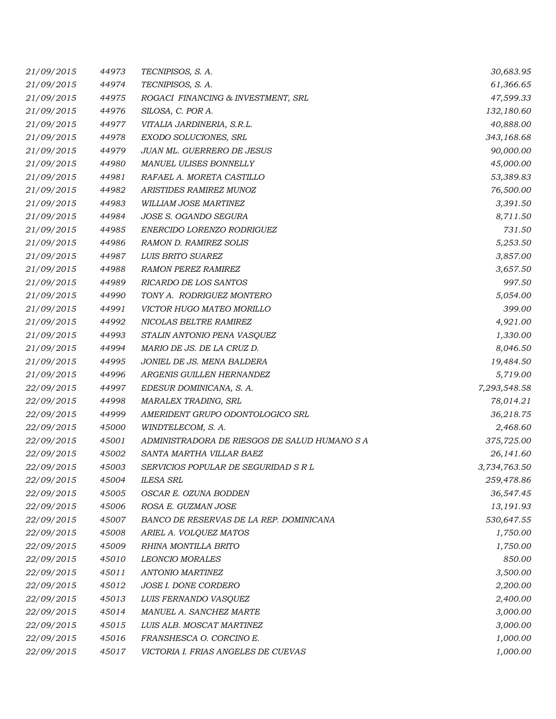| 21/09/2015 | 44973 | TECNIPISOS, S. A.                             | 30,683.95    |
|------------|-------|-----------------------------------------------|--------------|
| 21/09/2015 | 44974 | TECNIPISOS, S. A.                             | 61,366.65    |
| 21/09/2015 | 44975 | ROGACI FINANCING & INVESTMENT, SRL            | 47,599.33    |
| 21/09/2015 | 44976 | SILOSA, C. POR A.                             | 132,180.60   |
| 21/09/2015 | 44977 | VITALIA JARDINERIA, S.R.L.                    | 40,888.00    |
| 21/09/2015 | 44978 | EXODO SOLUCIONES, SRL                         | 343,168.68   |
| 21/09/2015 | 44979 | JUAN ML. GUERRERO DE JESUS                    | 90,000.00    |
| 21/09/2015 | 44980 | MANUEL ULISES BONNELLY                        | 45,000.00    |
| 21/09/2015 | 44981 | RAFAEL A. MORETA CASTILLO                     | 53,389.83    |
| 21/09/2015 | 44982 | <b>ARISTIDES RAMIREZ MUNOZ</b>                | 76,500.00    |
| 21/09/2015 | 44983 | WILLIAM JOSE MARTINEZ                         | 3,391.50     |
| 21/09/2015 | 44984 | JOSE S. OGANDO SEGURA                         | 8,711.50     |
| 21/09/2015 | 44985 | ENERCIDO LORENZO RODRIGUEZ                    | 731.50       |
| 21/09/2015 | 44986 | <b>RAMON D. RAMIREZ SOLIS</b>                 | 5,253.50     |
| 21/09/2015 | 44987 | LUIS BRITO SUAREZ                             | 3,857.00     |
| 21/09/2015 | 44988 | <b>RAMON PEREZ RAMIREZ</b>                    | 3,657.50     |
| 21/09/2015 | 44989 | RICARDO DE LOS SANTOS                         | 997.50       |
| 21/09/2015 | 44990 | TONY A. RODRIGUEZ MONTERO                     | 5,054.00     |
| 21/09/2015 | 44991 | VICTOR HUGO MATEO MORILLO                     | 399.00       |
| 21/09/2015 | 44992 | NICOLAS BELTRE RAMIREZ                        | 4,921.00     |
| 21/09/2015 | 44993 | STALIN ANTONIO PENA VASQUEZ                   | 1,330.00     |
| 21/09/2015 | 44994 | MARIO DE JS. DE LA CRUZ D.                    | 8,046.50     |
| 21/09/2015 | 44995 | JONIEL DE JS. MENA BALDERA                    | 19,484.50    |
| 21/09/2015 | 44996 | ARGENIS GUILLEN HERNANDEZ                     | 5,719.00     |
| 22/09/2015 | 44997 | EDESUR DOMINICANA, S. A.                      | 7,293,548.58 |
| 22/09/2015 | 44998 | MARALEX TRADING, SRL                          | 78,014.21    |
| 22/09/2015 | 44999 | AMERIDENT GRUPO ODONTOLOGICO SRL              | 36,218.75    |
| 22/09/2015 | 45000 | WINDTELECOM, S. A.                            | 2,468.60     |
| 22/09/2015 | 45001 | ADMINISTRADORA DE RIESGOS DE SALUD HUMANO S A | 375,725.00   |
| 22/09/2015 | 45002 | SANTA MARTHA VILLAR BAEZ                      | 26,141.60    |
| 22/09/2015 | 45003 | SERVICIOS POPULAR DE SEGURIDAD S R L          | 3,734,763.50 |
| 22/09/2015 | 45004 | <b>ILESA SRL</b>                              | 259,478.86   |
| 22/09/2015 | 45005 | OSCAR E. OZUNA BODDEN                         | 36,547.45    |
| 22/09/2015 | 45006 | ROSA E. GUZMAN JOSE                           | 13,191.93    |
| 22/09/2015 | 45007 | BANCO DE RESERVAS DE LA REP. DOMINICANA       | 530,647.55   |
| 22/09/2015 | 45008 | ARIEL A. VOLQUEZ MATOS                        | 1,750.00     |
| 22/09/2015 | 45009 | RHINA MONTILLA BRITO                          | 1,750.00     |
| 22/09/2015 | 45010 | LEONCIO MORALES                               | 850.00       |
| 22/09/2015 | 45011 | <b>ANTONIO MARTINEZ</b>                       | 3,500.00     |
| 22/09/2015 | 45012 | JOSE I. DONE CORDERO                          | 2,200.00     |
| 22/09/2015 | 45013 | LUIS FERNANDO VASQUEZ                         | 2,400.00     |
| 22/09/2015 | 45014 | MANUEL A. SANCHEZ MARTE                       | 3,000.00     |
| 22/09/2015 | 45015 | LUIS ALB. MOSCAT MARTINEZ                     | 3,000.00     |
| 22/09/2015 | 45016 | FRANSHESCA O. CORCINO E.                      | 1,000.00     |
| 22/09/2015 | 45017 | VICTORIA I. FRIAS ANGELES DE CUEVAS           | 1,000.00     |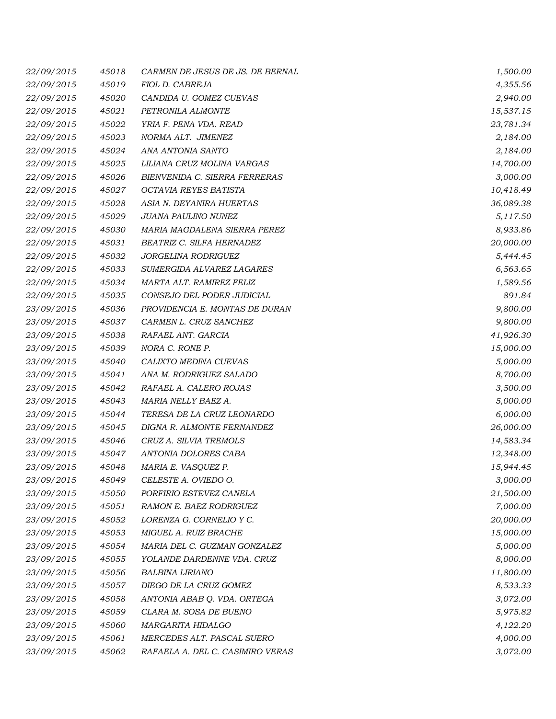| 22/09/2015 | 45018 | CARMEN DE JESUS DE JS. DE BERNAL | 1,500.00  |
|------------|-------|----------------------------------|-----------|
| 22/09/2015 | 45019 | FIOL D. CABREJA                  | 4,355.56  |
| 22/09/2015 | 45020 | CANDIDA U. GOMEZ CUEVAS          | 2,940.00  |
| 22/09/2015 | 45021 | PETRONILA ALMONTE                | 15,537.15 |
| 22/09/2015 | 45022 | YRIA F. PENA VDA. READ           | 23,781.34 |
| 22/09/2015 | 45023 | NORMA ALT. JIMENEZ               | 2,184.00  |
| 22/09/2015 | 45024 | ANA ANTONIA SANTO                | 2,184.00  |
| 22/09/2015 | 45025 | LILIANA CRUZ MOLINA VARGAS       | 14,700.00 |
| 22/09/2015 | 45026 | BIENVENIDA C. SIERRA FERRERAS    | 3,000.00  |
| 22/09/2015 | 45027 | OCTAVIA REYES BATISTA            | 10,418.49 |
| 22/09/2015 | 45028 | ASIA N. DEYANIRA HUERTAS         | 36,089.38 |
| 22/09/2015 | 45029 | JUANA PAULINO NUNEZ              | 5,117.50  |
| 22/09/2015 | 45030 | MARIA MAGDALENA SIERRA PEREZ     | 8,933.86  |
| 22/09/2015 | 45031 | BEATRIZ C. SILFA HERNADEZ        | 20,000.00 |
| 22/09/2015 | 45032 | JORGELINA RODRIGUEZ              | 5,444.45  |
| 22/09/2015 | 45033 | SUMERGIDA ALVAREZ LAGARES        | 6,563.65  |
| 22/09/2015 | 45034 | MARTA ALT. RAMIREZ FELIZ         | 1,589.56  |
| 22/09/2015 | 45035 | CONSEJO DEL PODER JUDICIAL       | 891.84    |
| 23/09/2015 | 45036 | PROVIDENCIA E. MONTAS DE DURAN   | 9,800.00  |
| 23/09/2015 | 45037 | CARMEN L. CRUZ SANCHEZ           | 9,800.00  |
| 23/09/2015 | 45038 | RAFAEL ANT. GARCIA               | 41,926.30 |
| 23/09/2015 | 45039 | NORA C. RONE P.                  | 15,000.00 |
| 23/09/2015 | 45040 | CALIXTO MEDINA CUEVAS            | 5,000.00  |
| 23/09/2015 | 45041 | ANA M. RODRIGUEZ SALADO          | 8,700.00  |
| 23/09/2015 | 45042 | RAFAEL A. CALERO ROJAS           | 3,500.00  |
| 23/09/2015 | 45043 | MARIA NELLY BAEZ A.              | 5,000.00  |
| 23/09/2015 | 45044 | TERESA DE LA CRUZ LEONARDO       | 6,000.00  |
| 23/09/2015 | 45045 | DIGNA R. ALMONTE FERNANDEZ       | 26,000.00 |
| 23/09/2015 | 45046 | CRUZ A. SILVIA TREMOLS           | 14,583.34 |
| 23/09/2015 | 45047 | ANTONIA DOLORES CABA             | 12,348.00 |
| 23/09/2015 | 45048 | MARIA E. VASQUEZ P.              | 15,944.45 |
| 23/09/2015 | 45049 | CELESTE A. OVIEDO O.             | 3,000.00  |
| 23/09/2015 | 45050 | PORFIRIO ESTEVEZ CANELA          | 21,500.00 |
| 23/09/2015 | 45051 | RAMON E. BAEZ RODRIGUEZ          | 7,000.00  |
| 23/09/2015 | 45052 | LORENZA G. CORNELIO Y C.         | 20,000.00 |
| 23/09/2015 | 45053 | MIGUEL A. RUIZ BRACHE            | 15,000.00 |
| 23/09/2015 | 45054 | MARIA DEL C. GUZMAN GONZALEZ     | 5,000.00  |
| 23/09/2015 | 45055 | YOLANDE DARDENNE VDA. CRUZ       | 8,000.00  |
| 23/09/2015 | 45056 | BALBINA LIRIANO                  | 11,800.00 |
| 23/09/2015 | 45057 | DIEGO DE LA CRUZ GOMEZ           | 8,533.33  |
| 23/09/2015 | 45058 | ANTONIA ABAB Q. VDA. ORTEGA      | 3,072.00  |
| 23/09/2015 | 45059 | CLARA M. SOSA DE BUENO           | 5,975.82  |
| 23/09/2015 | 45060 | MARGARITA HIDALGO                | 4,122.20  |
| 23/09/2015 | 45061 | MERCEDES ALT. PASCAL SUERO       | 4,000.00  |
| 23/09/2015 | 45062 | RAFAELA A. DEL C. CASIMIRO VERAS | 3,072.00  |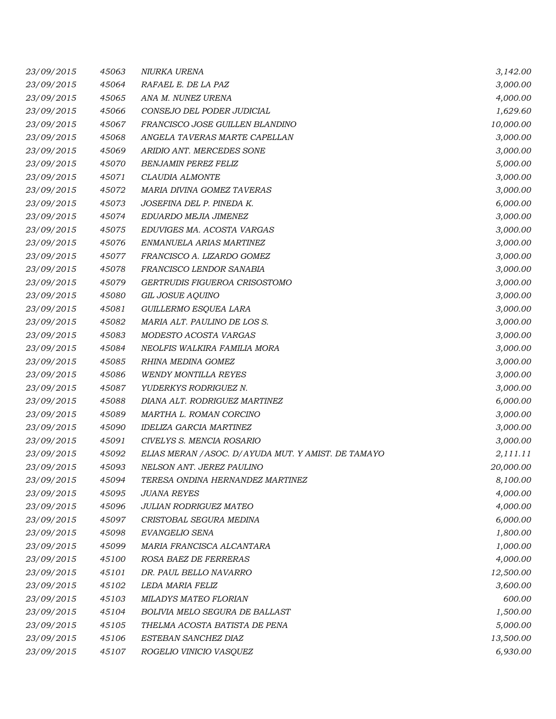| 23/09/2015 | 45063 | NIURKA URENA                                         | 3,142.00  |
|------------|-------|------------------------------------------------------|-----------|
| 23/09/2015 | 45064 | RAFAEL E. DE LA PAZ                                  | 3,000.00  |
| 23/09/2015 | 45065 | ANA M. NUNEZ URENA                                   | 4,000.00  |
| 23/09/2015 | 45066 | CONSEJO DEL PODER JUDICIAL                           | 1,629.60  |
| 23/09/2015 | 45067 | FRANCISCO JOSE GUILLEN BLANDINO                      | 10,000.00 |
| 23/09/2015 | 45068 | ANGELA TAVERAS MARTE CAPELLAN                        | 3,000.00  |
| 23/09/2015 | 45069 | ARIDIO ANT. MERCEDES SONE                            | 3,000.00  |
| 23/09/2015 | 45070 | <b>BENJAMIN PEREZ FELIZ</b>                          | 5,000.00  |
| 23/09/2015 | 45071 | CLAUDIA ALMONTE                                      | 3,000.00  |
| 23/09/2015 | 45072 | MARIA DIVINA GOMEZ TAVERAS                           | 3,000.00  |
| 23/09/2015 | 45073 | JOSEFINA DEL P. PINEDA K.                            | 6,000.00  |
| 23/09/2015 | 45074 | EDUARDO MEJIA JIMENEZ                                | 3,000.00  |
| 23/09/2015 | 45075 | EDUVIGES MA. ACOSTA VARGAS                           | 3,000.00  |
| 23/09/2015 | 45076 | ENMANUELA ARIAS MARTINEZ                             | 3,000.00  |
| 23/09/2015 | 45077 | FRANCISCO A. LIZARDO GOMEZ                           | 3,000.00  |
| 23/09/2015 | 45078 | FRANCISCO LENDOR SANABIA                             | 3,000.00  |
| 23/09/2015 | 45079 | GERTRUDIS FIGUEROA CRISOSTOMO                        | 3,000.00  |
| 23/09/2015 | 45080 | <b>GIL JOSUE AQUINO</b>                              | 3,000.00  |
| 23/09/2015 | 45081 | GUILLERMO ESQUEA LARA                                | 3,000.00  |
| 23/09/2015 | 45082 | MARIA ALT. PAULINO DE LOS S.                         | 3,000.00  |
| 23/09/2015 | 45083 | MODESTO ACOSTA VARGAS                                | 3,000.00  |
| 23/09/2015 | 45084 | NEOLFIS WALKIRA FAMILIA MORA                         | 3,000.00  |
| 23/09/2015 | 45085 | RHINA MEDINA GOMEZ                                   | 3,000.00  |
| 23/09/2015 | 45086 | <b>WENDY MONTILLA REYES</b>                          | 3,000.00  |
| 23/09/2015 | 45087 | YUDERKYS RODRIGUEZ N.                                | 3,000.00  |
| 23/09/2015 | 45088 | DIANA ALT. RODRIGUEZ MARTINEZ                        | 6,000.00  |
| 23/09/2015 | 45089 | MARTHA L. ROMAN CORCINO                              | 3,000.00  |
| 23/09/2015 | 45090 | <b>IDELIZA GARCIA MARTINEZ</b>                       | 3,000.00  |
| 23/09/2015 | 45091 | CIVELYS S. MENCIA ROSARIO                            | 3,000.00  |
| 23/09/2015 | 45092 | ELIAS MERAN / ASOC. D/ AYUDA MUT. Y AMIST. DE TAMAYO | 2,111.11  |
| 23/09/2015 | 45093 | NELSON ANT. JEREZ PAULINO                            | 20,000.00 |
| 23/09/2015 | 45094 | TERESA ONDINA HERNANDEZ MARTINEZ                     | 8,100.00  |
| 23/09/2015 | 45095 | <b>JUANA REYES</b>                                   | 4,000.00  |
| 23/09/2015 | 45096 | JULIAN RODRIGUEZ MATEO                               | 4,000.00  |
| 23/09/2015 | 45097 | CRISTOBAL SEGURA MEDINA                              | 6,000.00  |
| 23/09/2015 | 45098 | EVANGELIO SENA                                       | 1,800.00  |
| 23/09/2015 | 45099 | MARIA FRANCISCA ALCANTARA                            | 1,000.00  |
| 23/09/2015 | 45100 | ROSA BAEZ DE FERRERAS                                | 4,000.00  |
| 23/09/2015 | 45101 | DR. PAUL BELLO NAVARRO                               | 12,500.00 |
| 23/09/2015 | 45102 | LEDA MARIA FELIZ                                     | 3,600.00  |
| 23/09/2015 | 45103 | MILADYS MATEO FLORIAN                                | 600.00    |
| 23/09/2015 | 45104 | BOLIVIA MELO SEGURA DE BALLAST                       | 1,500.00  |
| 23/09/2015 | 45105 | THELMA ACOSTA BATISTA DE PENA                        | 5,000.00  |
| 23/09/2015 | 45106 | ESTEBAN SANCHEZ DIAZ                                 | 13,500.00 |
| 23/09/2015 | 45107 | ROGELIO VINICIO VASQUEZ                              | 6,930.00  |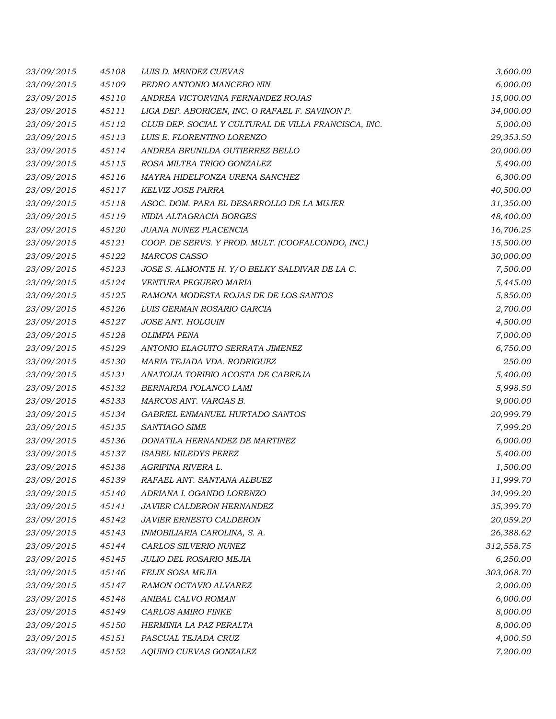| 23/09/2015 | 45108 | LUIS D. MENDEZ CUEVAS                                | 3,600.00   |
|------------|-------|------------------------------------------------------|------------|
| 23/09/2015 | 45109 | PEDRO ANTONIO MANCEBO NIN                            | 6,000.00   |
| 23/09/2015 | 45110 | ANDREA VICTORVINA FERNANDEZ ROJAS                    | 15,000.00  |
| 23/09/2015 | 45111 | LIGA DEP. ABORIGEN, INC. O RAFAEL F. SAVINON P.      | 34,000.00  |
| 23/09/2015 | 45112 | CLUB DEP. SOCIAL Y CULTURAL DE VILLA FRANCISCA, INC. | 5,000.00   |
| 23/09/2015 | 45113 | LUIS E. FLORENTINO LORENZO                           | 29,353.50  |
| 23/09/2015 | 45114 | ANDREA BRUNILDA GUTIERREZ BELLO                      | 20,000.00  |
| 23/09/2015 | 45115 | ROSA MILTEA TRIGO GONZALEZ                           | 5,490.00   |
| 23/09/2015 | 45116 | MAYRA HIDELFONZA URENA SANCHEZ                       | 6,300.00   |
| 23/09/2015 | 45117 | <b>KELVIZ JOSE PARRA</b>                             | 40,500.00  |
| 23/09/2015 | 45118 | ASOC. DOM. PARA EL DESARROLLO DE LA MUJER            | 31,350.00  |
| 23/09/2015 | 45119 | NIDIA ALTAGRACIA BORGES                              | 48,400.00  |
| 23/09/2015 | 45120 | JUANA NUNEZ PLACENCIA                                | 16,706.25  |
| 23/09/2015 | 45121 | COOP. DE SERVS. Y PROD. MULT. (COOFALCONDO, INC.)    | 15,500.00  |
| 23/09/2015 | 45122 | <b>MARCOS CASSO</b>                                  | 30,000.00  |
| 23/09/2015 | 45123 | JOSE S. ALMONTE H. Y/O BELKY SALDIVAR DE LA C.       | 7,500.00   |
| 23/09/2015 | 45124 | VENTURA PEGUERO MARIA                                | 5,445.00   |
| 23/09/2015 | 45125 | RAMONA MODESTA ROJAS DE DE LOS SANTOS                | 5,850.00   |
| 23/09/2015 | 45126 | LUIS GERMAN ROSARIO GARCIA                           | 2,700.00   |
| 23/09/2015 | 45127 | <b>JOSE ANT. HOLGUIN</b>                             | 4,500.00   |
| 23/09/2015 | 45128 | <b>OLIMPIA PENA</b>                                  | 7,000.00   |
| 23/09/2015 | 45129 | ANTONIO ELAGUITO SERRATA JIMENEZ                     | 6,750.00   |
| 23/09/2015 | 45130 | MARIA TEJADA VDA. RODRIGUEZ                          | 250.00     |
| 23/09/2015 | 45131 | ANATOLIA TORIBIO ACOSTA DE CABREJA                   | 5,400.00   |
| 23/09/2015 | 45132 | BERNARDA POLANCO LAMI                                | 5,998.50   |
| 23/09/2015 | 45133 | MARCOS ANT. VARGAS B.                                | 9,000.00   |
| 23/09/2015 | 45134 | GABRIEL ENMANUEL HURTADO SANTOS                      | 20,999.79  |
| 23/09/2015 | 45135 | SANTIAGO SIME                                        | 7,999.20   |
| 23/09/2015 | 45136 | DONATILA HERNANDEZ DE MARTINEZ                       | 6,000.00   |
| 23/09/2015 | 45137 | <b>ISABEL MILEDYS PEREZ</b>                          | 5,400.00   |
| 23/09/2015 | 45138 | AGRIPINA RIVERA L.                                   | 1,500.00   |
| 23/09/2015 | 45139 | RAFAEL ANT. SANTANA ALBUEZ                           | 11,999.70  |
| 23/09/2015 | 45140 | ADRIANA I. OGANDO LORENZO                            | 34,999.20  |
| 23/09/2015 | 45141 | JAVIER CALDERON HERNANDEZ                            | 35,399.70  |
| 23/09/2015 | 45142 | <b>JAVIER ERNESTO CALDERON</b>                       | 20,059.20  |
| 23/09/2015 | 45143 | INMOBILIARIA CAROLINA, S. A.                         | 26,388.62  |
| 23/09/2015 | 45144 | CARLOS SILVERIO NUNEZ                                | 312,558.75 |
| 23/09/2015 | 45145 | JULIO DEL ROSARIO MEJIA                              | 6,250.00   |
| 23/09/2015 | 45146 | FELIX SOSA MEJIA                                     | 303,068.70 |
| 23/09/2015 | 45147 | RAMON OCTAVIO ALVAREZ                                | 2,000.00   |
| 23/09/2015 | 45148 | ANIBAL CALVO ROMAN                                   | 6,000.00   |
| 23/09/2015 | 45149 | CARLOS AMIRO FINKE                                   | 8,000.00   |
| 23/09/2015 | 45150 | HERMINIA LA PAZ PERALTA                              | 8,000.00   |
| 23/09/2015 | 45151 | PASCUAL TEJADA CRUZ                                  | 4,000.50   |
| 23/09/2015 | 45152 | AQUINO CUEVAS GONZALEZ                               | 7,200.00   |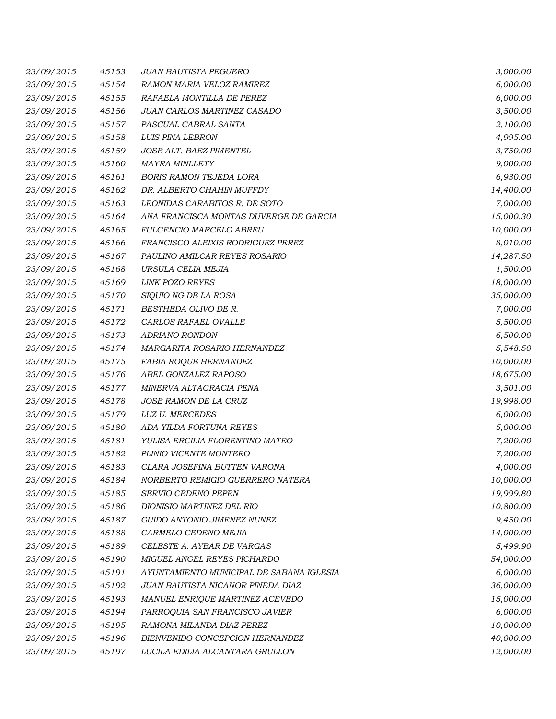| 23/09/2015 | 45153 | <b>JUAN BAUTISTA PEGUERO</b>             | 3,000.00  |
|------------|-------|------------------------------------------|-----------|
| 23/09/2015 | 45154 | RAMON MARIA VELOZ RAMIREZ                | 6,000.00  |
| 23/09/2015 | 45155 | RAFAELA MONTILLA DE PEREZ                | 6,000.00  |
| 23/09/2015 | 45156 | JUAN CARLOS MARTINEZ CASADO              | 3,500.00  |
| 23/09/2015 | 45157 | PASCUAL CABRAL SANTA                     | 2,100.00  |
| 23/09/2015 | 45158 | LUIS PINA LEBRON                         | 4,995.00  |
| 23/09/2015 | 45159 | JOSE ALT. BAEZ PIMENTEL                  | 3,750.00  |
| 23/09/2015 | 45160 | <b>MAYRA MINLLETY</b>                    | 9,000.00  |
| 23/09/2015 | 45161 | <b>BORIS RAMON TEJEDA LORA</b>           | 6,930.00  |
| 23/09/2015 | 45162 | DR. ALBERTO CHAHIN MUFFDY                | 14,400.00 |
| 23/09/2015 | 45163 | LEONIDAS CARABITOS R. DE SOTO            | 7,000.00  |
| 23/09/2015 | 45164 | ANA FRANCISCA MONTAS DUVERGE DE GARCIA   | 15,000.30 |
| 23/09/2015 | 45165 | <b>FULGENCIO MARCELO ABREU</b>           | 10,000.00 |
| 23/09/2015 | 45166 | FRANCISCO ALEIXIS RODRIGUEZ PEREZ        | 8,010.00  |
| 23/09/2015 | 45167 | PAULINO AMILCAR REYES ROSARIO            | 14,287.50 |
| 23/09/2015 | 45168 | URSULA CELIA MEJIA                       | 1,500.00  |
| 23/09/2015 | 45169 | <b>LINK POZO REYES</b>                   | 18,000.00 |
| 23/09/2015 | 45170 | SIQUIO NG DE LA ROSA                     | 35,000.00 |
| 23/09/2015 | 45171 | BESTHEDA OLIVO DE R.                     | 7,000.00  |
| 23/09/2015 | 45172 | CARLOS RAFAEL OVALLE                     | 5,500.00  |
| 23/09/2015 | 45173 | ADRIANO RONDON                           | 6,500.00  |
| 23/09/2015 | 45174 | MARGARITA ROSARIO HERNANDEZ              | 5,548.50  |
| 23/09/2015 | 45175 | FABIA ROQUE HERNANDEZ                    | 10,000.00 |
| 23/09/2015 | 45176 | ABEL GONZALEZ RAPOSO                     | 18,675.00 |
| 23/09/2015 | 45177 | MINERVA ALTAGRACIA PENA                  | 3,501.00  |
| 23/09/2015 | 45178 | JOSE RAMON DE LA CRUZ                    | 19,998.00 |
| 23/09/2015 | 45179 | LUZ U. MERCEDES                          | 6,000.00  |
| 23/09/2015 | 45180 | ADA YILDA FORTUNA REYES                  | 5,000.00  |
| 23/09/2015 | 45181 | YULISA ERCILIA FLORENTINO MATEO          | 7,200.00  |
| 23/09/2015 | 45182 | PLINIO VICENTE MONTERO                   | 7,200.00  |
| 23/09/2015 | 45183 | CLARA JOSEFINA BUTTEN VARONA             | 4,000.00  |
| 23/09/2015 | 45184 | NORBERTO REMIGIO GUERRERO NATERA         | 10,000.00 |
| 23/09/2015 | 45185 | SERVIO CEDENO PEPEN                      | 19,999.80 |
| 23/09/2015 | 45186 | DIONISIO MARTINEZ DEL RIO                | 10,800.00 |
| 23/09/2015 | 45187 | GUIDO ANTONIO JIMENEZ NUNEZ              | 9,450.00  |
| 23/09/2015 | 45188 | CARMELO CEDENO MEJIA                     | 14,000.00 |
| 23/09/2015 | 45189 | CELESTE A. AYBAR DE VARGAS               | 5,499.90  |
| 23/09/2015 | 45190 | MIGUEL ANGEL REYES PICHARDO              | 54,000.00 |
| 23/09/2015 | 45191 | AYUNTAMIENTO MUNICIPAL DE SABANA IGLESIA | 6,000.00  |
| 23/09/2015 | 45192 | JUAN BAUTISTA NICANOR PINEDA DIAZ        | 36,000.00 |
| 23/09/2015 | 45193 | MANUEL ENRIQUE MARTINEZ ACEVEDO          | 15,000.00 |
| 23/09/2015 | 45194 | PARROQUIA SAN FRANCISCO JAVIER           | 6,000.00  |
| 23/09/2015 | 45195 | RAMONA MILANDA DIAZ PEREZ                | 10,000.00 |
| 23/09/2015 | 45196 | BIENVENIDO CONCEPCION HERNANDEZ          | 40,000.00 |
| 23/09/2015 | 45197 | LUCILA EDILIA ALCANTARA GRULLON          | 12,000.00 |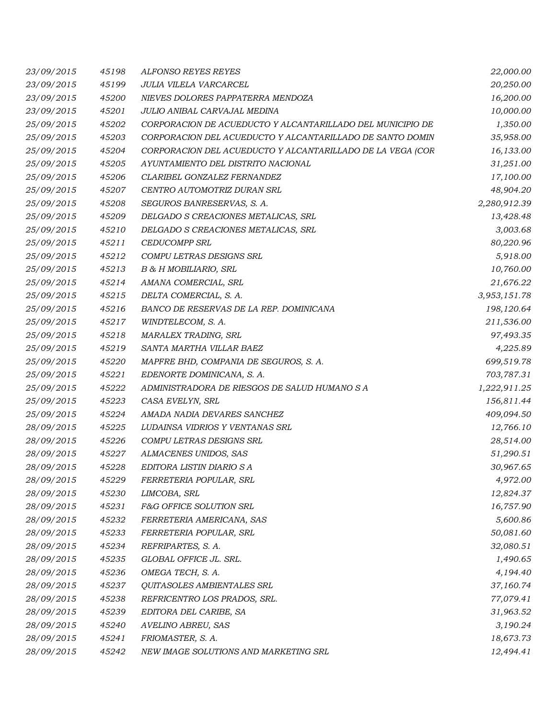| 23/09/2015 | 45198 | <b>ALFONSO REYES REYES</b>                                 | 22,000.00    |
|------------|-------|------------------------------------------------------------|--------------|
| 23/09/2015 | 45199 | JULIA VILELA VARCARCEL                                     | 20,250.00    |
| 23/09/2015 | 45200 | NIEVES DOLORES PAPPATERRA MENDOZA                          | 16,200.00    |
| 23/09/2015 | 45201 | JULIO ANIBAL CARVAJAL MEDINA                               | 10,000.00    |
| 25/09/2015 | 45202 | CORPORACION DE ACUEDUCTO Y ALCANTARILLADO DEL MUNICIPIO DE | 1,350.00     |
| 25/09/2015 | 45203 | CORPORACION DEL ACUEDUCTO Y ALCANTARILLADO DE SANTO DOMIN  | 35,958.00    |
| 25/09/2015 | 45204 | CORPORACION DEL ACUEDUCTO Y ALCANTARILLADO DE LA VEGA (COR | 16,133.00    |
| 25/09/2015 | 45205 | AYUNTAMIENTO DEL DISTRITO NACIONAL                         | 31,251.00    |
| 25/09/2015 | 45206 | CLARIBEL GONZALEZ FERNANDEZ                                | 17,100.00    |
| 25/09/2015 | 45207 | CENTRO AUTOMOTRIZ DURAN SRL                                | 48,904.20    |
| 25/09/2015 | 45208 | SEGUROS BANRESERVAS, S. A.                                 | 2,280,912.39 |
| 25/09/2015 | 45209 | DELGADO S CREACIONES METALICAS, SRL                        | 13,428.48    |
| 25/09/2015 | 45210 | DELGADO S CREACIONES METALICAS, SRL                        | 3,003.68     |
| 25/09/2015 | 45211 | <b>CEDUCOMPP SRL</b>                                       | 80,220.96    |
| 25/09/2015 | 45212 | COMPU LETRAS DESIGNS SRL                                   | 5,918.00     |
| 25/09/2015 | 45213 | B & H MOBILIARIO, SRL                                      | 10,760.00    |
| 25/09/2015 | 45214 | AMANA COMERCIAL, SRL                                       | 21,676.22    |
| 25/09/2015 | 45215 | DELTA COMERCIAL, S. A.                                     | 3,953,151.78 |
| 25/09/2015 | 45216 | BANCO DE RESERVAS DE LA REP. DOMINICANA                    | 198,120.64   |
| 25/09/2015 | 45217 | WINDTELECOM, S. A.                                         | 211,536.00   |
| 25/09/2015 | 45218 | MARALEX TRADING, SRL                                       | 97,493.35    |
| 25/09/2015 | 45219 | SANTA MARTHA VILLAR BAEZ                                   | 4,225.89     |
| 25/09/2015 | 45220 | MAPFRE BHD, COMPANIA DE SEGUROS, S. A.                     | 699,519.78   |
| 25/09/2015 | 45221 | EDENORTE DOMINICANA, S. A.                                 | 703,787.31   |
| 25/09/2015 | 45222 | ADMINISTRADORA DE RIESGOS DE SALUD HUMANO S A              | 1,222,911.25 |
| 25/09/2015 | 45223 | CASA EVELYN, SRL                                           | 156,811.44   |
| 25/09/2015 | 45224 | AMADA NADIA DEVARES SANCHEZ                                | 409,094.50   |
| 28/09/2015 | 45225 | LUDAINSA VIDRIOS Y VENTANAS SRL                            | 12,766.10    |
| 28/09/2015 | 45226 | COMPU LETRAS DESIGNS SRL                                   | 28,514.00    |
| 28/09/2015 | 45227 | ALMACENES UNIDOS, SAS                                      | 51,290.51    |
| 28/09/2015 | 45228 | EDITORA LISTIN DIARIO S A                                  | 30,967.65    |
| 28/09/2015 | 45229 | FERRETERIA POPULAR, SRL                                    | 4,972.00     |
| 28/09/2015 | 45230 | LIMCOBA, SRL                                               | 12,824.37    |
| 28/09/2015 | 45231 | F&G OFFICE SOLUTION SRL                                    | 16,757.90    |
| 28/09/2015 | 45232 | FERRETERIA AMERICANA, SAS                                  | 5,600.86     |
| 28/09/2015 | 45233 | FERRETERIA POPULAR, SRL                                    | 50,081.60    |
| 28/09/2015 | 45234 | REFRIPARTES, S. A.                                         | 32,080.51    |
| 28/09/2015 | 45235 | GLOBAL OFFICE JL. SRL.                                     | 1,490.65     |
| 28/09/2015 | 45236 | OMEGA TECH, S. A.                                          | 4,194.40     |
| 28/09/2015 | 45237 | QUITASOLES AMBIENTALES SRL                                 | 37,160.74    |
| 28/09/2015 | 45238 | REFRICENTRO LOS PRADOS, SRL.                               | 77,079.41    |
| 28/09/2015 | 45239 | EDITORA DEL CARIBE, SA                                     | 31,963.52    |
| 28/09/2015 | 45240 | AVELINO ABREU, SAS                                         | 3,190.24     |
| 28/09/2015 | 45241 | FRIOMASTER, S. A.                                          | 18,673.73    |
| 28/09/2015 | 45242 | NEW IMAGE SOLUTIONS AND MARKETING SRL                      | 12,494.41    |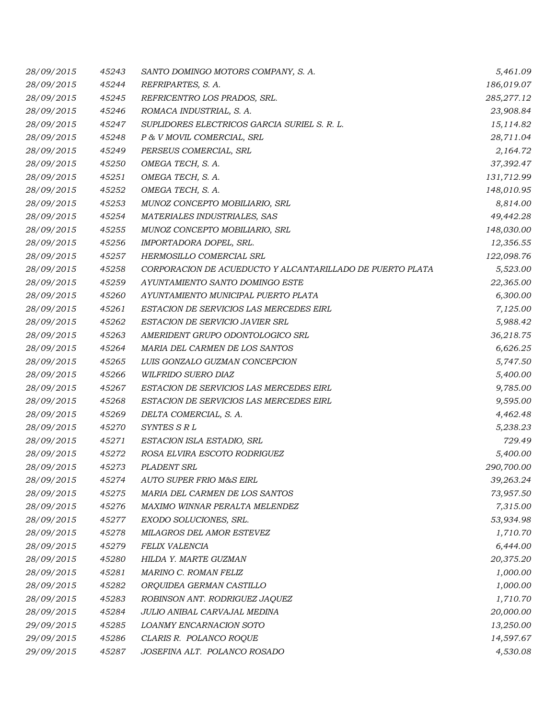| 28/09/2015 | 45243 | SANTO DOMINGO MOTORS COMPANY, S. A.                       | 5,461.09   |
|------------|-------|-----------------------------------------------------------|------------|
| 28/09/2015 | 45244 | REFRIPARTES, S. A.                                        | 186,019.07 |
| 28/09/2015 | 45245 | REFRICENTRO LOS PRADOS, SRL.                              | 285,277.12 |
| 28/09/2015 | 45246 | ROMACA INDUSTRIAL, S. A.                                  | 23,908.84  |
| 28/09/2015 | 45247 | SUPLIDORES ELECTRICOS GARCIA SURIEL S. R. L.              | 15,114.82  |
| 28/09/2015 | 45248 | P & V MOVIL COMERCIAL, SRL                                | 28,711.04  |
| 28/09/2015 | 45249 | PERSEUS COMERCIAL, SRL                                    | 2,164.72   |
| 28/09/2015 | 45250 | OMEGA TECH, S. A.                                         | 37,392.47  |
| 28/09/2015 | 45251 | OMEGA TECH, S. A.                                         | 131,712.99 |
| 28/09/2015 | 45252 | OMEGA TECH, S. A.                                         | 148,010.95 |
| 28/09/2015 | 45253 | MUNOZ CONCEPTO MOBILIARIO, SRL                            | 8,814.00   |
| 28/09/2015 | 45254 | MATERIALES INDUSTRIALES, SAS                              | 49,442.28  |
| 28/09/2015 | 45255 | MUNOZ CONCEPTO MOBILIARIO, SRL                            | 148,030.00 |
| 28/09/2015 | 45256 | IMPORTADORA DOPEL, SRL.                                   | 12,356.55  |
| 28/09/2015 | 45257 | <b>HERMOSILLO COMERCIAL SRL</b>                           | 122,098.76 |
| 28/09/2015 | 45258 | CORPORACION DE ACUEDUCTO Y ALCANTARILLADO DE PUERTO PLATA | 5,523.00   |
| 28/09/2015 | 45259 | AYUNTAMIENTO SANTO DOMINGO ESTE                           | 22,365.00  |
| 28/09/2015 | 45260 | AYUNTAMIENTO MUNICIPAL PUERTO PLATA                       | 6,300.00   |
| 28/09/2015 | 45261 | ESTACION DE SERVICIOS LAS MERCEDES EIRL                   | 7,125.00   |
| 28/09/2015 | 45262 | ESTACION DE SERVICIO JAVIER SRL                           | 5,988.42   |
| 28/09/2015 | 45263 | AMERIDENT GRUPO ODONTOLOGICO SRL                          | 36,218.75  |
| 28/09/2015 | 45264 | MARIA DEL CARMEN DE LOS SANTOS                            | 6,626.25   |
| 28/09/2015 | 45265 | LUIS GONZALO GUZMAN CONCEPCION                            | 5,747.50   |
| 28/09/2015 | 45266 | WILFRIDO SUERO DIAZ                                       | 5,400.00   |
| 28/09/2015 | 45267 | ESTACION DE SERVICIOS LAS MERCEDES EIRL                   | 9,785.00   |
| 28/09/2015 | 45268 | ESTACION DE SERVICIOS LAS MERCEDES EIRL                   | 9,595.00   |
| 28/09/2015 | 45269 | DELTA COMERCIAL, S. A.                                    | 4,462.48   |
| 28/09/2015 | 45270 | SYNTES S R L                                              | 5,238.23   |
| 28/09/2015 | 45271 | ESTACION ISLA ESTADIO, SRL                                | 729.49     |
| 28/09/2015 | 45272 | ROSA ELVIRA ESCOTO RODRIGUEZ                              | 5,400.00   |
| 28/09/2015 | 45273 | PLADENT SRL                                               | 290,700.00 |
| 28/09/2015 | 45274 | <b>AUTO SUPER FRIO M&amp;S EIRL</b>                       | 39,263.24  |
| 28/09/2015 | 45275 | MARIA DEL CARMEN DE LOS SANTOS                            | 73,957.50  |
| 28/09/2015 | 45276 | MAXIMO WINNAR PERALTA MELENDEZ                            | 7,315.00   |
| 28/09/2015 | 45277 | EXODO SOLUCIONES, SRL.                                    | 53,934.98  |
| 28/09/2015 | 45278 | MILAGROS DEL AMOR ESTEVEZ                                 | 1,710.70   |
| 28/09/2015 | 45279 | <b>FELIX VALENCIA</b>                                     | 6,444.00   |
| 28/09/2015 | 45280 | HILDA Y. MARTE GUZMAN                                     | 20,375.20  |
| 28/09/2015 | 45281 | MARINO C. ROMAN FELIZ                                     | 1,000.00   |
| 28/09/2015 | 45282 | ORQUIDEA GERMAN CASTILLO                                  | 1,000.00   |
| 28/09/2015 | 45283 | ROBINSON ANT. RODRIGUEZ JAQUEZ                            | 1,710.70   |
| 28/09/2015 | 45284 | JULIO ANIBAL CARVAJAL MEDINA                              | 20,000.00  |
| 29/09/2015 | 45285 | LOANMY ENCARNACION SOTO                                   | 13,250.00  |
| 29/09/2015 | 45286 | CLARIS R. POLANCO ROQUE                                   | 14,597.67  |
| 29/09/2015 | 45287 | JOSEFINA ALT. POLANCO ROSADO                              | 4,530.08   |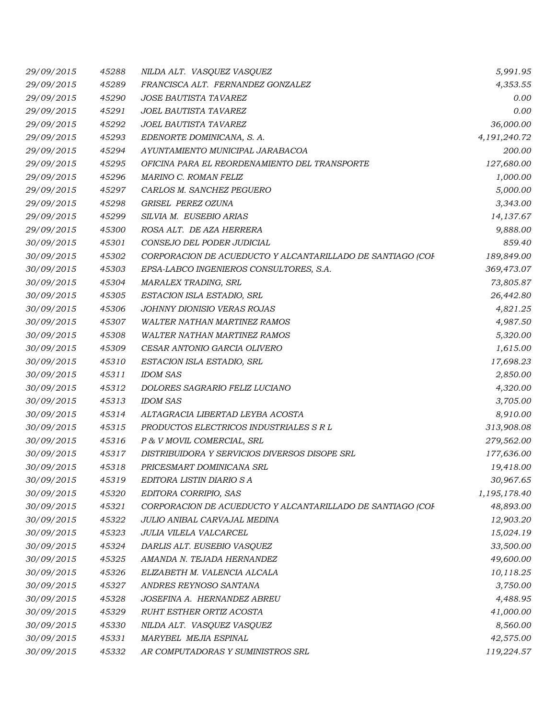| 29/09/2015 | 45288 | NILDA ALT. VASQUEZ VASQUEZ                                 | 5,991.95     |
|------------|-------|------------------------------------------------------------|--------------|
| 29/09/2015 | 45289 | FRANCISCA ALT. FERNANDEZ GONZALEZ                          | 4,353.55     |
| 29/09/2015 | 45290 | <b>JOSE BAUTISTA TAVAREZ</b>                               | 0.00         |
| 29/09/2015 | 45291 | JOEL BAUTISTA TAVAREZ                                      | 0.00         |
| 29/09/2015 | 45292 | JOEL BAUTISTA TAVAREZ                                      | 36,000.00    |
| 29/09/2015 | 45293 | EDENORTE DOMINICANA, S. A.                                 | 4,191,240.72 |
| 29/09/2015 | 45294 | AYUNTAMIENTO MUNICIPAL JARABACOA                           | 200.00       |
| 29/09/2015 | 45295 | OFICINA PARA EL REORDENAMIENTO DEL TRANSPORTE              | 127,680.00   |
| 29/09/2015 | 45296 | MARINO C. ROMAN FELIZ                                      | 1,000.00     |
| 29/09/2015 | 45297 | CARLOS M. SANCHEZ PEGUERO                                  | 5,000.00     |
| 29/09/2015 | 45298 | GRISEL PEREZ OZUNA                                         | 3,343.00     |
| 29/09/2015 | 45299 | SILVIA M. EUSEBIO ARIAS                                    | 14,137.67    |
| 29/09/2015 | 45300 | ROSA ALT. DE AZA HERRERA                                   | 9,888.00     |
| 30/09/2015 | 45301 | CONSEJO DEL PODER JUDICIAL                                 | 859.40       |
| 30/09/2015 | 45302 | CORPORACION DE ACUEDUCTO Y ALCANTARILLADO DE SANTIAGO (COF | 189,849.00   |
| 30/09/2015 | 45303 | EPSA-LABCO INGENIEROS CONSULTORES, S.A.                    | 369,473.07   |
| 30/09/2015 | 45304 | MARALEX TRADING, SRL                                       | 73,805.87    |
| 30/09/2015 | 45305 | ESTACION ISLA ESTADIO, SRL                                 | 26,442.80    |
| 30/09/2015 | 45306 | JOHNNY DIONISIO VERAS ROJAS                                | 4,821.25     |
| 30/09/2015 | 45307 | <b>WALTER NATHAN MARTINEZ RAMOS</b>                        | 4,987.50     |
| 30/09/2015 | 45308 | <b>WALTER NATHAN MARTINEZ RAMOS</b>                        | 5,320.00     |
| 30/09/2015 | 45309 | CESAR ANTONIO GARCIA OLIVERO                               | 1,615.00     |
| 30/09/2015 | 45310 | ESTACION ISLA ESTADIO, SRL                                 | 17,698.23    |
| 30/09/2015 | 45311 | <b>IDOM SAS</b>                                            | 2,850.00     |
| 30/09/2015 | 45312 | DOLORES SAGRARIO FELIZ LUCIANO                             | 4,320.00     |
| 30/09/2015 | 45313 | <b>IDOM SAS</b>                                            | 3,705.00     |
| 30/09/2015 | 45314 | ALTAGRACIA LIBERTAD LEYBA ACOSTA                           | 8,910.00     |
| 30/09/2015 | 45315 | PRODUCTOS ELECTRICOS INDUSTRIALES S R L                    | 313,908.08   |
| 30/09/2015 | 45316 | P & V MOVIL COMERCIAL, SRL                                 | 279,562.00   |
| 30/09/2015 | 45317 | DISTRIBUIDORA Y SERVICIOS DIVERSOS DISOPE SRL              | 177,636.00   |
| 30/09/2015 | 45318 | PRICESMART DOMINICANA SRL                                  | 19,418.00    |
| 30/09/2015 | 45319 | EDITORA LISTIN DIARIO S A                                  | 30,967.65    |
| 30/09/2015 | 45320 | EDITORA CORRIPIO, SAS                                      | 1,195,178.40 |
| 30/09/2015 | 45321 | CORPORACION DE ACUEDUCTO Y ALCANTARILLADO DE SANTIAGO (COF | 48,893.00    |
| 30/09/2015 | 45322 | JULIO ANIBAL CARVAJAL MEDINA                               | 12,903.20    |
| 30/09/2015 | 45323 | JULIA VILELA VALCARCEL                                     | 15,024.19    |
| 30/09/2015 | 45324 | DARLIS ALT. EUSEBIO VASQUEZ                                | 33,500.00    |
| 30/09/2015 | 45325 | AMANDA N. TEJADA HERNANDEZ                                 | 49,600.00    |
| 30/09/2015 | 45326 | ELIZABETH M. VALENCIA ALCALA                               | 10,118.25    |
| 30/09/2015 | 45327 | ANDRES REYNOSO SANTANA                                     | 3,750.00     |
| 30/09/2015 | 45328 | JOSEFINA A. HERNANDEZ ABREU                                | 4,488.95     |
| 30/09/2015 | 45329 | RUHT ESTHER ORTIZ ACOSTA                                   | 41,000.00    |
| 30/09/2015 | 45330 | NILDA ALT. VASQUEZ VASQUEZ                                 | 8,560.00     |
| 30/09/2015 | 45331 | MARYBEL MEJIA ESPINAL                                      | 42,575.00    |
| 30/09/2015 | 45332 | AR COMPUTADORAS Y SUMINISTROS SRL                          | 119,224.57   |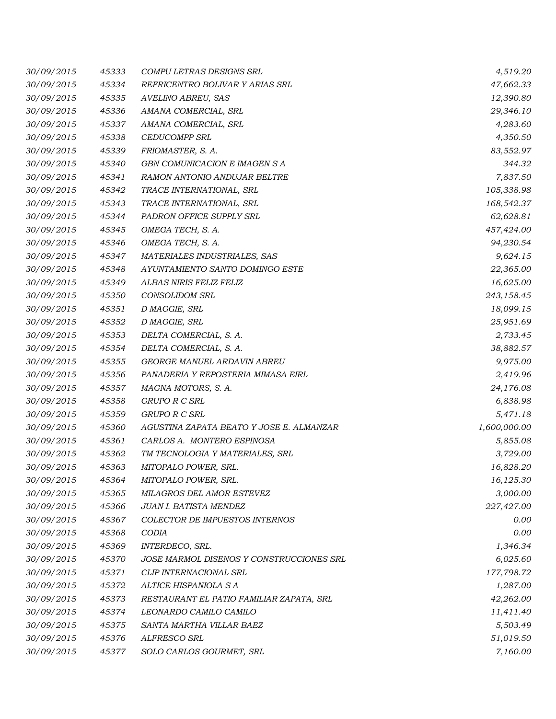| 30/09/2015 | 45333 | COMPU LETRAS DESIGNS SRL                 | 4,519.20     |
|------------|-------|------------------------------------------|--------------|
| 30/09/2015 | 45334 | REFRICENTRO BOLIVAR Y ARIAS SRL          | 47,662.33    |
| 30/09/2015 | 45335 | AVELINO ABREU, SAS                       | 12,390.80    |
| 30/09/2015 | 45336 | AMANA COMERCIAL, SRL                     | 29,346.10    |
| 30/09/2015 | 45337 | AMANA COMERCIAL, SRL                     | 4,283.60     |
| 30/09/2015 | 45338 | <b>CEDUCOMPP SRL</b>                     | 4,350.50     |
| 30/09/2015 | 45339 | FRIOMASTER, S. A.                        | 83,552.97    |
| 30/09/2015 | 45340 | GBN COMUNICACION E IMAGEN S A            | 344.32       |
| 30/09/2015 | 45341 | RAMON ANTONIO ANDUJAR BELTRE             | 7,837.50     |
| 30/09/2015 | 45342 | TRACE INTERNATIONAL, SRL                 | 105,338.98   |
| 30/09/2015 | 45343 | TRACE INTERNATIONAL, SRL                 | 168,542.37   |
| 30/09/2015 | 45344 | PADRON OFFICE SUPPLY SRL                 | 62,628.81    |
| 30/09/2015 | 45345 | OMEGA TECH, S. A.                        | 457,424.00   |
| 30/09/2015 | 45346 | OMEGA TECH, S. A.                        | 94,230.54    |
| 30/09/2015 | 45347 | MATERIALES INDUSTRIALES, SAS             | 9,624.15     |
| 30/09/2015 | 45348 | AYUNTAMIENTO SANTO DOMINGO ESTE          | 22,365.00    |
| 30/09/2015 | 45349 | ALBAS NIRIS FELIZ FELIZ                  | 16,625.00    |
| 30/09/2015 | 45350 | <b>CONSOLIDOM SRL</b>                    | 243,158.45   |
| 30/09/2015 | 45351 | D MAGGIE, SRL                            | 18,099.15    |
| 30/09/2015 | 45352 | D MAGGIE, SRL                            | 25,951.69    |
| 30/09/2015 | 45353 | DELTA COMERCIAL, S. A.                   | 2,733.45     |
| 30/09/2015 | 45354 | DELTA COMERCIAL, S. A.                   | 38,882.57    |
| 30/09/2015 | 45355 | GEORGE MANUEL ARDAVIN ABREU              | 9,975.00     |
| 30/09/2015 | 45356 | PANADERIA Y REPOSTERIA MIMASA EIRL       | 2,419.96     |
| 30/09/2015 | 45357 | MAGNA MOTORS, S. A.                      | 24,176.08    |
| 30/09/2015 | 45358 | GRUPO R C SRL                            | 6,838.98     |
| 30/09/2015 | 45359 | GRUPO R C SRL                            | 5,471.18     |
| 30/09/2015 | 45360 | AGUSTINA ZAPATA BEATO Y JOSE E. ALMANZAR | 1,600,000.00 |
| 30/09/2015 | 45361 | CARLOS A. MONTERO ESPINOSA               | 5,855.08     |
| 30/09/2015 | 45362 | TM TECNOLOGIA Y MATERIALES, SRL          | 3,729.00     |
| 30/09/2015 | 45363 | MITOPALO POWER, SRL.                     | 16,828.20    |
| 30/09/2015 | 45364 | MITOPALO POWER, SRL.                     | 16,125.30    |
| 30/09/2015 | 45365 | MILAGROS DEL AMOR ESTEVEZ                | 3,000.00     |
| 30/09/2015 | 45366 | JUAN I. BATISTA MENDEZ                   | 227,427.00   |
| 30/09/2015 | 45367 | COLECTOR DE IMPUESTOS INTERNOS           | 0.00         |
| 30/09/2015 | 45368 | CODIA                                    | 0.00         |
| 30/09/2015 | 45369 | INTERDECO, SRL.                          | 1,346.34     |
| 30/09/2015 | 45370 | JOSE MARMOL DISENOS Y CONSTRUCCIONES SRL | 6,025.60     |
| 30/09/2015 | 45371 | CLIP INTERNACIONAL SRL                   | 177,798.72   |
| 30/09/2015 | 45372 | ALTICE HISPANIOLA S A                    | 1,287.00     |
| 30/09/2015 | 45373 | RESTAURANT EL PATIO FAMILIAR ZAPATA, SRL | 42,262.00    |
| 30/09/2015 | 45374 | LEONARDO CAMILO CAMILO                   | 11,411.40    |
| 30/09/2015 | 45375 | SANTA MARTHA VILLAR BAEZ                 | 5,503.49     |
| 30/09/2015 | 45376 | ALFRESCO SRL                             | 51,019.50    |
| 30/09/2015 | 45377 | SOLO CARLOS GOURMET, SRL                 | 7,160.00     |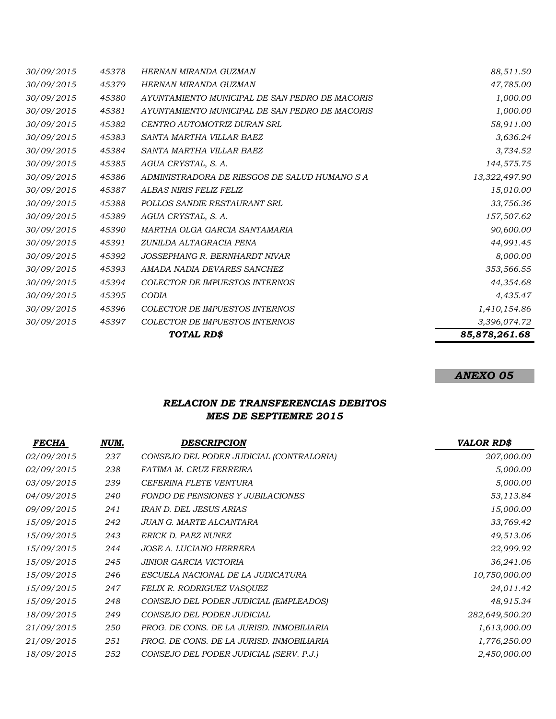|            | 85,878,261.68 |                                                     |               |
|------------|---------------|-----------------------------------------------------|---------------|
| 30/09/2015 | 45397         | <b>COLECTOR DE IMPUESTOS INTERNOS</b><br>TOTAL RD\$ | 3,396,074.72  |
| 30/09/2015 | 45396         | <b>COLECTOR DE IMPUESTOS INTERNOS</b>               | 1,410,154.86  |
| 30/09/2015 | 45395         | CODIA                                               | 4,435.47      |
| 30/09/2015 | 45394         | <b>COLECTOR DE IMPUESTOS INTERNOS</b>               | 44,354.68     |
| 30/09/2015 | 45393         | AMADA NADIA DEVARES SANCHEZ                         | 353,566.55    |
| 30/09/2015 | 45392         | JOSSEPHANG R. BERNHARDT NIVAR                       | 8,000.00      |
| 30/09/2015 | 45391         | ZUNILDA ALTAGRACIA PENA                             | 44,991.45     |
| 30/09/2015 | 45390         | MARTHA OLGA GARCIA SANTAMARIA                       | 90,600.00     |
| 30/09/2015 | 45389         | AGUA CRYSTAL, S. A.                                 | 157,507.62    |
| 30/09/2015 | 45388         | POLLOS SANDIE RESTAURANT SRL                        | 33,756.36     |
| 30/09/2015 | 45387         | ALBAS NIRIS FELIZ FELIZ                             | 15,010.00     |
| 30/09/2015 | 45386         | ADMINISTRADORA DE RIESGOS DE SALUD HUMANO S A       | 13,322,497.90 |
| 30/09/2015 | 45385         | AGUA CRYSTAL, S. A.                                 | 144,575.75    |
| 30/09/2015 | 45384         | SANTA MARTHA VILLAR BAEZ                            | 3,734.52      |
| 30/09/2015 | 45383         | SANTA MARTHA VILLAR BAEZ                            | 3,636.24      |
| 30/09/2015 | 45382         | CENTRO AUTOMOTRIZ DURAN SRL                         | 58,911.00     |
| 30/09/2015 | 45381         | AYUNTAMIENTO MUNICIPAL DE SAN PEDRO DE MACORIS      | 1,000.00      |
| 30/09/2015 | 45380         | AYUNTAMIENTO MUNICIPAL DE SAN PEDRO DE MACORIS      | 1,000.00      |
| 30/09/2015 | 45379         | HERNAN MIRANDA GUZMAN                               | 47,785.00     |
| 30/09/2015 | 45378         | HERNAN MIRANDA GUZMAN                               | 88,511.50     |

## *RELACION DE TRANSFERENCIAS DEBITOS MES DE SEPTIEMRE 2015*

| <b>FECHA</b> | NUM. | <b>DESCRIPCION</b>                        | <b>VALOR RD\$</b> |
|--------------|------|-------------------------------------------|-------------------|
| 02/09/2015   | 237  | CONSEJO DEL PODER JUDICIAL (CONTRALORIA)  | 207,000.00        |
| 02/09/2015   | 238  | FATIMA M. CRUZ FERREIRA                   | 5,000.00          |
| 03/09/2015   | 239  | CEFERINA FLETE VENTURA                    | 5,000.00          |
| 04/09/2015   | 240  | <b>FONDO DE PENSIONES Y JUBILACIONES</b>  | 53,113.84         |
| 09/09/2015   | 241  | IRAN D. DEL JESUS ARIAS                   | 15,000.00         |
| 15/09/2015   | 242  | JUAN G. MARTE ALCANTARA                   | 33,769.42         |
| 15/09/2015   | 243  | ERICK D. PAEZ NUNEZ                       | 49,513.06         |
| 15/09/2015   | 244  | <i>JOSE A. LUCIANO HERRERA</i>            | 22,999.92         |
| 15/09/2015   | 245  | JINIOR GARCIA VICTORIA                    | 36,241.06         |
| 15/09/2015   | 246  | ESCUELA NACIONAL DE LA JUDICATURA         | 10,750,000.00     |
| 15/09/2015   | 247  | FELIX R. RODRIGUEZ VASQUEZ                | 24,011.42         |
| 15/09/2015   | 248  | CONSEJO DEL PODER JUDICIAL (EMPLEADOS)    | 48,915.34         |
| 18/09/2015   | 249  | CONSEJO DEL PODER JUDICIAL                | 282,649,500.20    |
| 21/09/2015   | 250  | PROG. DE CONS. DE LA JURISD. INMOBILIARIA | 1,613,000.00      |
| 21/09/2015   | 251  | PROG. DE CONS. DE LA JURISD. INMOBILIARIA | 1,776,250.00      |
| 18/09/2015   | 252  | CONSEJO DEL PODER JUDICIAL (SERV. P.J.)   | 2,450,000.00      |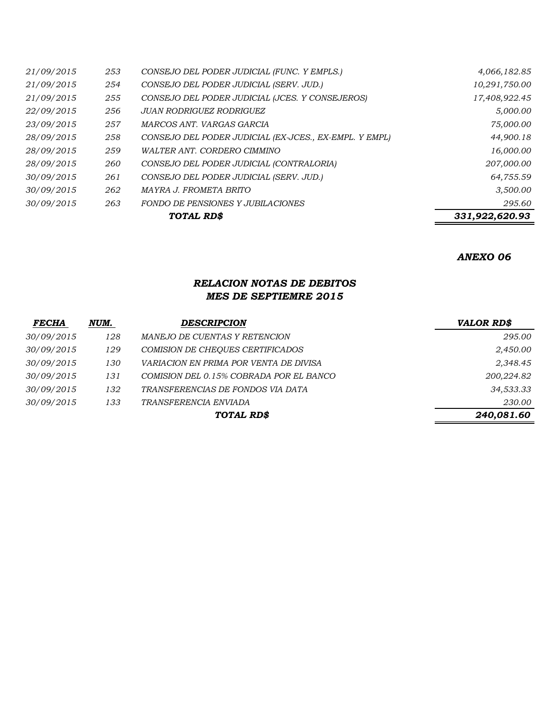|            | 331,922,620.93 |                                                        |               |
|------------|----------------|--------------------------------------------------------|---------------|
| 30/09/2015 | 263            | <b>FONDO DE PENSIONES Y JUBILACIONES</b>               | 295.60        |
| 30/09/2015 | 262            | MAYRA J. FROMETA BRITO                                 | 3,500.00      |
| 30/09/2015 | 261            | CONSEJO DEL PODER JUDICIAL (SERV. JUD.)                | 64,755.59     |
| 28/09/2015 | 260            | CONSEJO DEL PODER JUDICIAL (CONTRALORIA)               | 207,000.00    |
| 28/09/2015 | 259            | WALTER ANT. CORDERO CIMMINO                            | 16,000.00     |
| 28/09/2015 | 258            | CONSEJO DEL PODER JUDICIAL (EX-JCES., EX-EMPL. Y EMPL) | 44,900.18     |
| 23/09/2015 | 257            | MARCOS ANT. VARGAS GARCIA                              | 75,000.00     |
| 22/09/2015 | 256            | <b>JUAN RODRIGUEZ RODRIGUEZ</b>                        | 5,000.00      |
| 21/09/2015 | 255            | CONSEJO DEL PODER JUDICIAL (JCES. Y CONSEJEROS)        | 17,408,922.45 |
| 21/09/2015 | 254            | CONSEJO DEL PODER JUDICIAL (SERV. JUD.)                | 10,291,750.00 |
| 21/09/2015 | 253            | CONSEJO DEL PODER JUDICIAL (FUNC. Y EMPLS.)            | 4,066,182.85  |

### *RELACION NOTAS DE DEBITOS MES DE SEPTIEMRE 2015*

| <b>FECHA</b> | NUM. | <b>DESCRIPCION</b>                      | <b>VALOR RD\$</b> |
|--------------|------|-----------------------------------------|-------------------|
| 30/09/2015   | 128  | MANEJO DE CUENTAS Y RETENCION           | 295.00            |
| 30/09/2015   | 129  | COMISION DE CHEQUES CERTIFICADOS        | 2,450.00          |
| 30/09/2015   | 130  | VARIACION EN PRIMA POR VENTA DE DIVISA  | 2,348.45          |
| 30/09/2015   | 131  | COMISION DEL 0.15% COBRADA POR EL BANCO | 200,224.82        |
| 30/09/2015   | 132  | TRANSFERENCIAS DE FONDOS VIA DATA       | 34,533.33         |
| 30/09/2015   | 133  | TRANSFERENCIA ENVIADA                   | 230.00            |
|              |      | TOTAL RD\$                              | 240,081.60        |